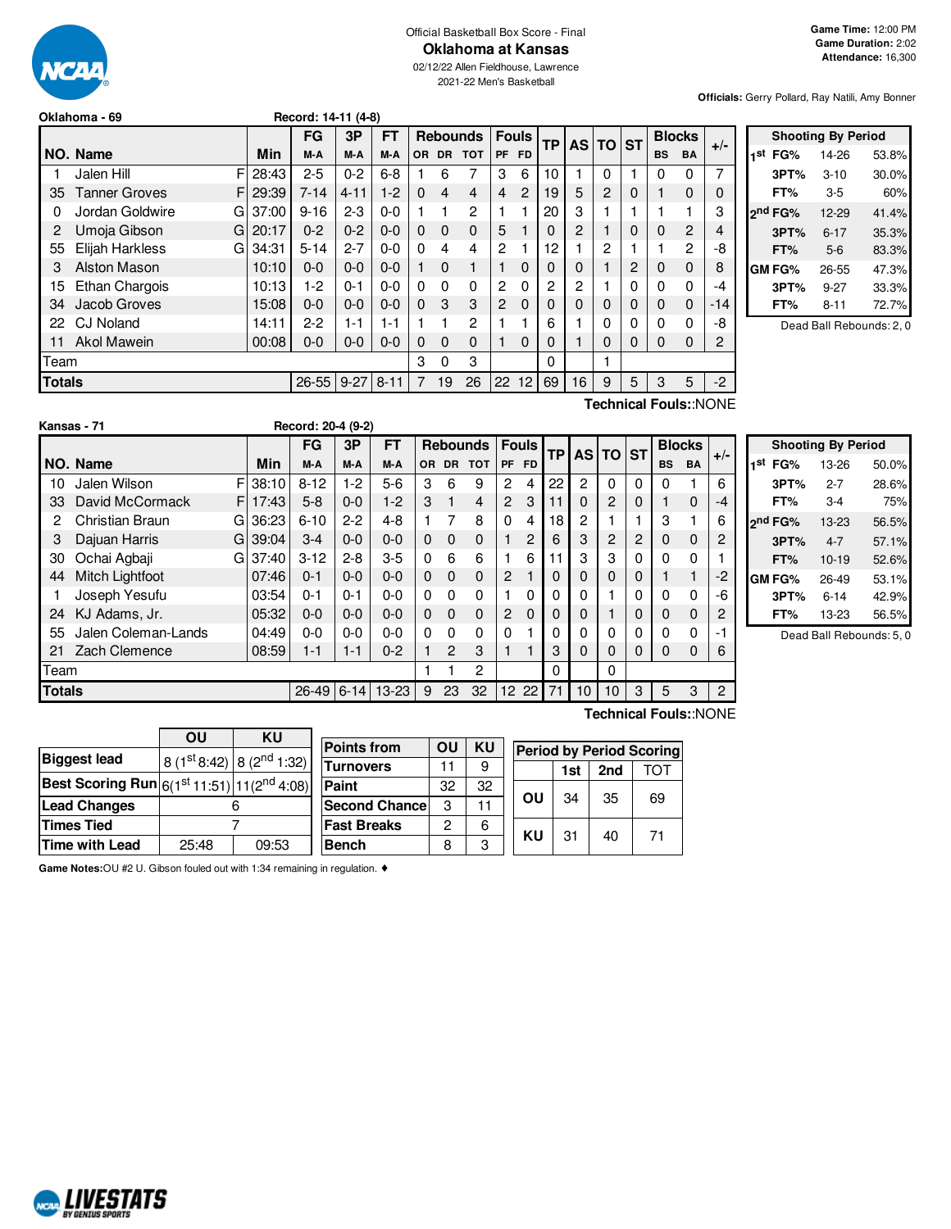

#### Official Basketball Box Score - Final **Oklahoma at Kansas**

02/12/22 Allen Fieldhouse, Lawrence 2021-22 Men's Basketball

**Officials:** Gerry Pollard, Ray Natili, Amy Bonner

|                            |                           |            | FG       | 3P       | FT       |           | <b>Rebounds</b> |                |           | <b>Fouls</b>    | <b>TP</b> |          | <b>AS TO</b> | <b>ST</b> | <b>Blocks</b> |                       | $+/-$          |
|----------------------------|---------------------------|------------|----------|----------|----------|-----------|-----------------|----------------|-----------|-----------------|-----------|----------|--------------|-----------|---------------|-----------------------|----------------|
|                            | NO. Name                  | <b>Min</b> | M-A      | M-A      | M-A      | <b>OR</b> | <b>DR</b>       | <b>TOT</b>     | <b>PF</b> | <b>FD</b>       |           |          |              |           | <b>BS</b>     | <b>BA</b>             |                |
|                            | F<br>Jalen Hill           | 28:43      | $2 - 5$  | $0 - 2$  | $6 - 8$  |           | 6               | 7              | 3         | 6               | 10        |          | 0            |           | 0             | 0                     | 7              |
| 35                         | <b>Tanner Groves</b><br>F | 29:39      | $7 - 14$ | $4 - 11$ | $1-2$    | $\Omega$  | 4               | 4              | 4         | 2               | 19        | 5        | 2            | 0         |               | $\Omega$              | 0              |
| 0                          | Jordan Goldwire<br>G      | 37:00      | $9 - 16$ | $2 - 3$  | $0 - 0$  |           |                 | $\overline{2}$ |           |                 | 20        | 3        |              |           |               |                       | 3              |
| 2                          | Umoja Gibson<br>G         | 20:17      | $0 - 2$  | $0 - 2$  | $0 - 0$  | $\Omega$  | $\Omega$        | $\mathbf 0$    | 5         |                 | 0         | 2        |              | 0         | 0             | $\overline{2}$        | 4              |
| 55                         | Elijah Harkless<br>G      | 34:31      | $5 - 14$ | $2 - 7$  | $0 - 0$  | $\Omega$  | 4               | 4              | 2         |                 | 12        |          | 2            |           |               | $\overline{2}$        | -8             |
| 3                          | Alston Mason              | 10:10      | $0 - 0$  | $0 - 0$  | $0 - 0$  |           | 0               | $\mathbf{1}$   |           | 0               | 0         | 0        |              | 2         | 0             | 0                     | 8              |
| 15                         | Ethan Chargois            | 10:13      | 1-2      | $0 - 1$  | $0 - 0$  | 0         | $\Omega$        | 0              | 2         | 0               | 2         | 2        |              | 0         | 0             | 0                     | -4             |
| 34                         | Jacob Groves              | 15:08      | $0 - 0$  | $0 - 0$  | $0 - 0$  | $\Omega$  | 3               | 3              | 2         | $\Omega$        | 0         | $\Omega$ | $\Omega$     | 0         | 0             | 0                     | $-14$          |
| 22                         | <b>CJ Noland</b>          | 14:11      | $2-2$    | 1-1      | 1-1      |           |                 | 2              |           |                 | 6         |          | 0            | 0         | 0             | 0                     | -8             |
| 11                         | <b>Akol Mawein</b>        | 00:08      | $0 - 0$  | $0 - 0$  | $0-0$    | $\Omega$  | $\Omega$        | 0              | 1         | 0               | 0         |          | $\mathbf 0$  | 0         | 0             | 0                     | $\overline{c}$ |
|                            | Team                      |            |          |          |          |           | 0               | 3              |           |                 | 0         |          |              |           |               |                       |                |
| <b>Totals</b><br>$26 - 55$ |                           |            |          | $9 - 27$ | $8 - 11$ |           | 19              | 26             | 22        | 12 <sup>1</sup> | 69        | 16       | 9            | 5         | 3             | 5                     | $-2$           |
|                            |                           |            |          |          |          |           |                 |                |           |                 |           |          |              |           |               | Technical Fouls::NONE |                |

|     |                     | <b>Shooting By Period</b> |       |
|-----|---------------------|---------------------------|-------|
| 1st | FG%                 | 14-26                     | 53.8% |
|     | 3PT%                | $3 - 10$                  | 30.0% |
|     | FT%                 | 3-5                       | 60%   |
|     | 2 <sup>nd</sup> FG% | 12-29                     | 41.4% |
|     | 3PT%                | $6 - 17$                  | 35.3% |
|     | FT%                 | $5-6$                     | 83.3% |
|     | GM FG%              | 26-55                     | 47.3% |
|     | 3PT%                | $9 - 27$                  | 33.3% |
|     | FT%                 | $8 - 11$                  | 72.7% |

Dead Ball Rebounds: 2, 0

|      | Kansas - 71                            |   |       | Record: 20-4 (9-2) |         |           |          |                |                 |                |                |          |          |                |   |           |               |       |
|------|----------------------------------------|---|-------|--------------------|---------|-----------|----------|----------------|-----------------|----------------|----------------|----------|----------|----------------|---|-----------|---------------|-------|
|      |                                        |   |       | <b>FG</b>          | 3Р      | <b>FT</b> |          |                | <b>Rebounds</b> |                | <b>Fouls</b>   | TP       |          | AS TO ST       |   |           | <b>Blocks</b> | $+/-$ |
|      | NO. Name                               |   | Min   | M-A                | M-A     | M-A       |          | OR DR          | <b>TOT</b>      |                | PF FD          |          |          |                |   | <b>BS</b> | <b>BA</b>     |       |
| 10   | Jalen Wilson                           | F | 38:10 | $8 - 12$           | 1-2     | $5-6$     | 3        | 6              | 9               | 2              | 4              | 22       | 2        | 0              | 0 | 0         |               | 6     |
| 33   | David McCormack                        | F | 17:43 | $5-8$              | $0 - 0$ | $1-2$     | 3        | $\mathbf{1}$   | $\overline{4}$  | 2              | 3              | 11       | 0        | $\overline{c}$ | 0 |           | 0             | $-4$  |
| 2    | Christian Braun                        | G | 36:23 | $6 - 10$           | $2-2$   | $4 - 8$   |          |                | 8               | $\Omega$       | 4              | 18       | 2        |                |   | 3         |               | 6     |
| 3    | Dajuan Harris                          | G | 39:04 | $3 - 4$            | $0 - 0$ | $0 - 0$   | 0        | $\Omega$       | $\mathbf 0$     |                | $\overline{c}$ | 6        | 3        | 2              | 2 | 0         | 0             | 2     |
| 30   | Ochai Agbaji                           | G | 37:40 | $3 - 12$           | $2 - 8$ | $3-5$     | 0        | 6              | 6               |                | 6              |          | 3        | 3              | 0 | 0         | 0             |       |
| 44   | Mitch Lightfoot                        |   | 07:46 | $0 - 1$            | $0 - 0$ | $0 - 0$   | $\Omega$ | $\Omega$       | $\Omega$        | 2              |                | $\Omega$ | 0        | 0              | 0 |           |               | $-2$  |
|      | Joseph Yesufu                          |   | 03:54 | $0 - 1$            | $0 - 1$ | $0 - 0$   | $\Omega$ | $\Omega$       | $\Omega$        |                | 0              | 0        | 0        |                | 0 | 0         | 0             | -6    |
| 24   | KJ Adams, Jr.                          |   | 05:32 | $0 - 0$            | $0 - 0$ | $0 - 0$   | 0        | $\mathbf 0$    | 0               | $\overline{c}$ | $\Omega$       | $\Omega$ | 0        |                | 0 | 0         | 0             | 2     |
| 55   | Jalen Coleman-Lands                    |   | 04:49 | $0-0$              | $0 - 0$ | $0 - 0$   | 0        | $\Omega$       | $\Omega$        | $\Omega$       |                | $\Omega$ | 0        | 0              | 0 | 0         | 0             | -1    |
| 21   | Zach Clemence                          |   | 08:59 | $1 - 1$            | $1 - 1$ | $0 - 2$   |          | $\mathfrak{p}$ | 3               | 1              |                | 3        | $\Omega$ | $\Omega$       | 0 | 0         | $\Omega$      | 6     |
| Team |                                        |   |       |                    |         |           |          |                | $\overline{c}$  |                |                | 0        |          | 0              |   |           |               |       |
|      | <b>Totals</b><br>$26 - 49$<br>$6 - 14$ |   |       |                    |         |           | 9        | 23             | 32              |                | 12 22          | 71       | 10       | 10             | 3 | 5         | 3             | 2     |
|      | Technical Fouls::NONE                  |   |       |                    |         |           |          |                |                 |                |                |          |          |                |   |           |               |       |

| <b>Shooting By Period</b> |        |          |       |  |  |  |  |  |  |  |  |  |
|---------------------------|--------|----------|-------|--|--|--|--|--|--|--|--|--|
| 1st                       | FG%    | 13-26    | 50.0% |  |  |  |  |  |  |  |  |  |
|                           | 3PT%   | $2 - 7$  | 28.6% |  |  |  |  |  |  |  |  |  |
|                           | FT%    | 3-4      | 75%   |  |  |  |  |  |  |  |  |  |
| 2 <sup>nd</sup> FG%       |        | 13-23    | 56.5% |  |  |  |  |  |  |  |  |  |
|                           | 3PT%   | $4 - 7$  | 57.1% |  |  |  |  |  |  |  |  |  |
|                           | FT%    | $10-19$  | 52.6% |  |  |  |  |  |  |  |  |  |
|                           | GM FG% | 26-49    | 53.1% |  |  |  |  |  |  |  |  |  |
|                           | 3PT%   | $6 - 14$ | 42.9% |  |  |  |  |  |  |  |  |  |
|                           | FT%    | 13-23    | 56.5% |  |  |  |  |  |  |  |  |  |

Dead Ball Rebounds: 5, 0

|                                                | OU    | <b>KU</b>                 |                      |    |           |    |     |     |                                 |
|------------------------------------------------|-------|---------------------------|----------------------|----|-----------|----|-----|-----|---------------------------------|
| <b>Biggest lead</b>                            |       |                           | <b>Points from</b>   | OU | <b>KU</b> |    |     |     | <b>Period by Period Scoring</b> |
|                                                |       | $ 8(1st8:42) 8(2nd1:32) $ | <b>Turnovers</b>     | 11 | 9         |    | 1st | 2nd | TOT                             |
| Best Scoring Run $ 6(1st 11:51) 11(2nd 4:08) $ |       |                           | Paint                | 32 | 32        |    |     |     |                                 |
| <b>Lead Changes</b>                            |       | 6                         | <b>Second Chance</b> | 3  | 11        | OU | 34  | 35  | 69                              |
| <b>Times Tied</b>                              |       |                           | <b>Fast Breaks</b>   | 2  | 6         | KU |     |     | 71                              |
| <b>Time with Lead</b>                          | 25:48 | 09:53                     | <b>Bench</b>         | 8  | 3         |    | 31  | 40  |                                 |
|                                                |       |                           |                      |    |           |    |     |     |                                 |

**Game Notes:**OU #2 U. Gibson fouled out with 1:34 remaining in regulation. ♦



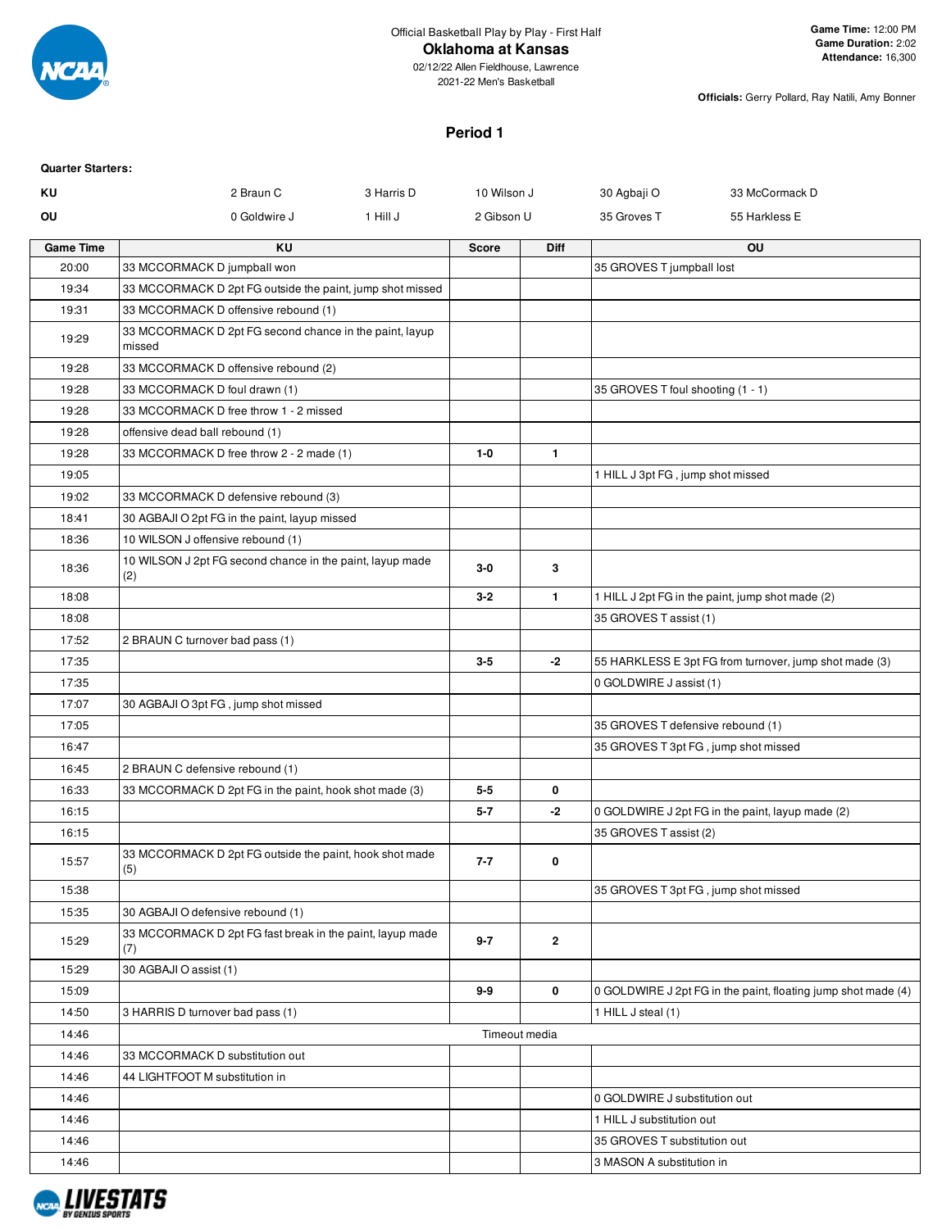

# **Oklahoma at Kansas**

02/12/22 Allen Fieldhouse, Lawrence 2021-22 Men's Basketball

**Officials:** Gerry Pollard, Ray Natili, Amy Bonner

# **Period 1**

| <b>Quarter Starters:</b> |                                                                   |            |               |              |                                   |                                                               |
|--------------------------|-------------------------------------------------------------------|------------|---------------|--------------|-----------------------------------|---------------------------------------------------------------|
| ΚU                       | 2 Braun C                                                         | 3 Harris D | 10 Wilson J   |              | 30 Agbaji O                       | 33 McCormack D                                                |
| OU                       | 0 Goldwire J                                                      | 1 Hill J   | 2 Gibson U    |              | 35 Groves T                       | 55 Harkless E                                                 |
| <b>Game Time</b>         | <b>KU</b>                                                         |            | <b>Score</b>  | <b>Diff</b>  |                                   | OU                                                            |
| 20:00                    | 33 MCCORMACK D jumpball won                                       |            |               |              | 35 GROVES T jumpball lost         |                                                               |
| 19:34                    | 33 MCCORMACK D 2pt FG outside the paint, jump shot missed         |            |               |              |                                   |                                                               |
| 19:31                    | 33 MCCORMACK D offensive rebound (1)                              |            |               |              |                                   |                                                               |
| 19:29                    | 33 MCCORMACK D 2pt FG second chance in the paint, layup<br>missed |            |               |              |                                   |                                                               |
| 19:28                    | 33 MCCORMACK D offensive rebound (2)                              |            |               |              |                                   |                                                               |
| 19:28                    | 33 MCCORMACK D foul drawn (1)                                     |            |               |              | 35 GROVES T foul shooting (1 - 1) |                                                               |
| 19:28                    | 33 MCCORMACK D free throw 1 - 2 missed                            |            |               |              |                                   |                                                               |
| 19:28                    | offensive dead ball rebound (1)                                   |            |               |              |                                   |                                                               |
| 19:28                    | 33 MCCORMACK D free throw 2 - 2 made (1)                          |            | $1-0$         | $\mathbf{1}$ |                                   |                                                               |
| 19:05                    |                                                                   |            |               |              | 1 HILL J 3pt FG, jump shot missed |                                                               |
| 19:02                    | 33 MCCORMACK D defensive rebound (3)                              |            |               |              |                                   |                                                               |
| 18:41                    | 30 AGBAJI O 2pt FG in the paint, layup missed                     |            |               |              |                                   |                                                               |
| 18:36                    | 10 WILSON J offensive rebound (1)                                 |            |               |              |                                   |                                                               |
| 18:36                    | 10 WILSON J 2pt FG second chance in the paint, layup made<br>(2)  |            | $3-0$         | 3            |                                   |                                                               |
| 18:08                    |                                                                   |            | $3 - 2$       | $\mathbf{1}$ |                                   | 1 HILL J 2pt FG in the paint, jump shot made (2)              |
| 18:08                    |                                                                   |            |               |              | 35 GROVES T assist (1)            |                                                               |
| 17:52                    | 2 BRAUN C turnover bad pass (1)                                   |            |               |              |                                   |                                                               |
| 17:35                    |                                                                   |            | $3-5$         | -2           |                                   | 55 HARKLESS E 3pt FG from turnover, jump shot made (3)        |
| 17:35                    |                                                                   |            |               |              | 0 GOLDWIRE J assist (1)           |                                                               |
| 17:07                    | 30 AGBAJI O 3pt FG, jump shot missed                              |            |               |              |                                   |                                                               |
| 17:05                    |                                                                   |            |               |              | 35 GROVES T defensive rebound (1) |                                                               |
| 16:47                    |                                                                   |            |               |              |                                   | 35 GROVES T 3pt FG, jump shot missed                          |
| 16:45                    | 2 BRAUN C defensive rebound (1)                                   |            |               |              |                                   |                                                               |
| 16:33                    | 33 MCCORMACK D 2pt FG in the paint, hook shot made (3)            |            | $5 - 5$       | 0            |                                   |                                                               |
| 16:15                    |                                                                   |            | $5 - 7$       | -2           |                                   | 0 GOLDWIRE J 2pt FG in the paint, layup made (2)              |
| 16:15                    |                                                                   |            |               |              | 35 GROVES T assist (2)            |                                                               |
| 15:57                    | 33 MCCORMACK D 2pt FG outside the paint, hook shot made<br>(5)    |            | $7 - 7$       | 0            |                                   |                                                               |
| 15:38                    |                                                                   |            |               |              |                                   | 35 GROVES T 3pt FG, jump shot missed                          |
| 15:35                    | 30 AGBAJI O defensive rebound (1)                                 |            |               |              |                                   |                                                               |
| 15:29                    | 33 MCCORMACK D 2pt FG fast break in the paint, layup made<br>(7)  |            | $9 - 7$       | $\mathbf{2}$ |                                   |                                                               |
| 15:29                    | 30 AGBAJI O assist (1)                                            |            |               |              |                                   |                                                               |
| 15:09                    |                                                                   |            | $9-9$         | 0            |                                   | 0 GOLDWIRE J 2pt FG in the paint, floating jump shot made (4) |
| 14:50                    | 3 HARRIS D turnover bad pass (1)                                  |            |               |              | 1 HILL J steal (1)                |                                                               |
| 14:46                    |                                                                   |            | Timeout media |              |                                   |                                                               |
| 14:46                    | 33 MCCORMACK D substitution out                                   |            |               |              |                                   |                                                               |
| 14:46                    | 44 LIGHTFOOT M substitution in                                    |            |               |              |                                   |                                                               |
| 14:46                    |                                                                   |            |               |              | 0 GOLDWIRE J substitution out     |                                                               |
| 14:46                    |                                                                   |            |               |              | 1 HILL J substitution out         |                                                               |
| 14:46                    |                                                                   |            |               |              | 35 GROVES T substitution out      |                                                               |
| 14:46                    |                                                                   |            |               |              | 3 MASON A substitution in         |                                                               |

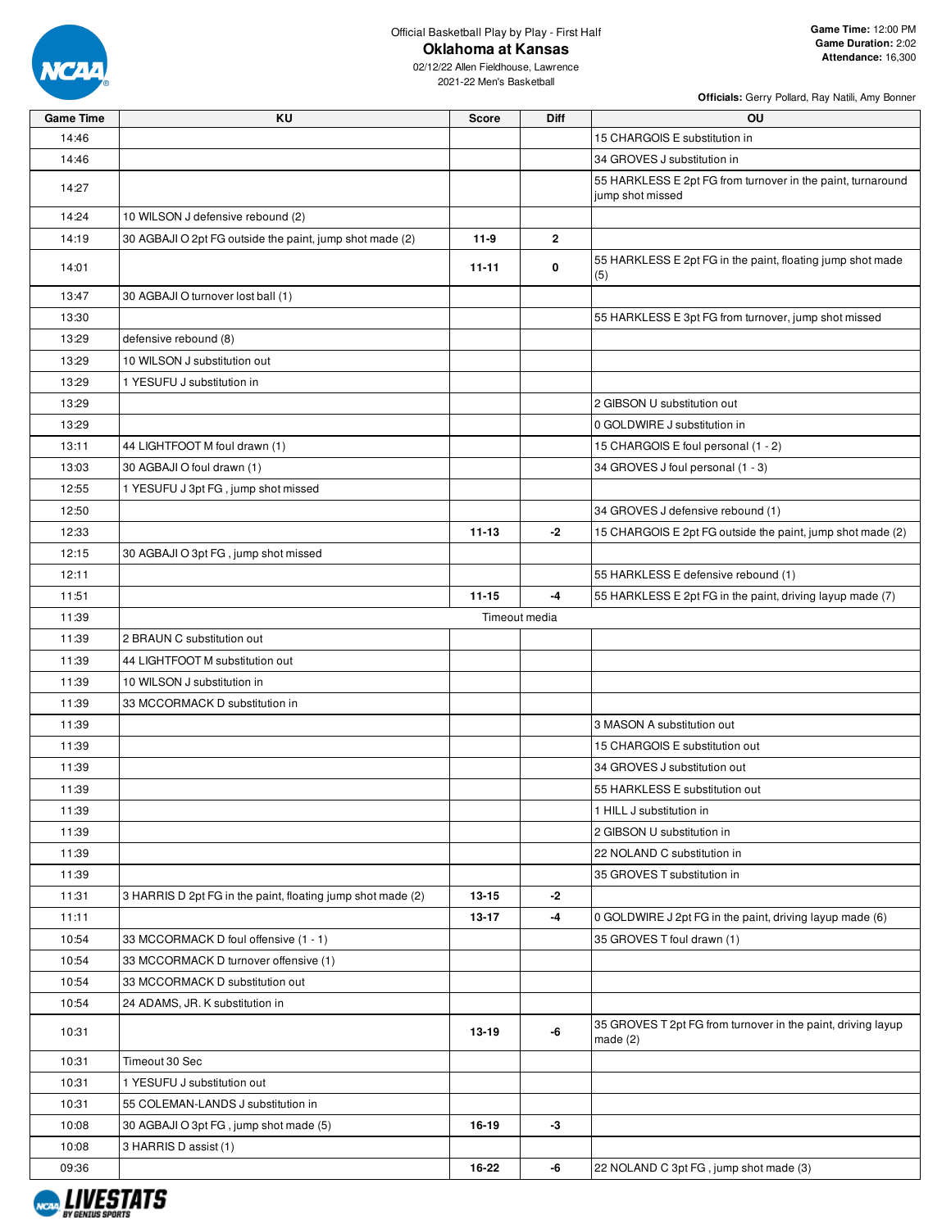

02/12/22 Allen Fieldhouse, Lawrence 2021-22 Men's Basketball

| Game Time | ΚU                                                          | Score     | Diff           | <b>OU</b>                                                                       |
|-----------|-------------------------------------------------------------|-----------|----------------|---------------------------------------------------------------------------------|
| 14:46     |                                                             |           |                | 15 CHARGOIS E substitution in                                                   |
| 14:46     |                                                             |           |                | 34 GROVES J substitution in                                                     |
| 14:27     |                                                             |           |                | 55 HARKLESS E 2pt FG from turnover in the paint, turnaround<br>jump shot missed |
| 14:24     | 10 WILSON J defensive rebound (2)                           |           |                |                                                                                 |
| 14:19     | 30 AGBAJI O 2pt FG outside the paint, jump shot made (2)    | $11-9$    | $\overline{2}$ |                                                                                 |
| 14:01     |                                                             | 11-11     | 0              | 55 HARKLESS E 2pt FG in the paint, floating jump shot made<br>(5)               |
| 13:47     | 30 AGBAJI O turnover lost ball (1)                          |           |                |                                                                                 |
| 13:30     |                                                             |           |                | 55 HARKLESS E 3pt FG from turnover, jump shot missed                            |
| 13:29     | defensive rebound (8)                                       |           |                |                                                                                 |
| 13:29     | 10 WILSON J substitution out                                |           |                |                                                                                 |
| 13:29     | 1 YESUFU J substitution in                                  |           |                |                                                                                 |
| 13:29     |                                                             |           |                | 2 GIBSON U substitution out                                                     |
| 13:29     |                                                             |           |                | 0 GOLDWIRE J substitution in                                                    |
| 13:11     | 44 LIGHTFOOT M foul drawn (1)                               |           |                | 15 CHARGOIS E foul personal (1 - 2)                                             |
| 13:03     | 30 AGBAJI O foul drawn (1)                                  |           |                | 34 GROVES J foul personal (1 - 3)                                               |
| 12:55     | 1 YESUFU J 3pt FG, jump shot missed                         |           |                |                                                                                 |
| 12:50     |                                                             |           |                | 34 GROVES J defensive rebound (1)                                               |
| 12:33     |                                                             | $11 - 13$ | -2             | 15 CHARGOIS E 2pt FG outside the paint, jump shot made (2)                      |
| 12:15     | 30 AGBAJI O 3pt FG, jump shot missed                        |           |                |                                                                                 |
| 12:11     |                                                             |           |                | 55 HARKLESS E defensive rebound (1)                                             |
| 11:51     |                                                             | $11 - 15$ | -4             | 55 HARKLESS E 2pt FG in the paint, driving layup made (7)                       |
| 11:39     |                                                             |           | Timeout media  |                                                                                 |
| 11:39     | 2 BRAUN C substitution out                                  |           |                |                                                                                 |
| 11:39     | 44 LIGHTFOOT M substitution out                             |           |                |                                                                                 |
| 11:39     | 10 WILSON J substitution in                                 |           |                |                                                                                 |
| 11:39     | 33 MCCORMACK D substitution in                              |           |                |                                                                                 |
| 11:39     |                                                             |           |                | 3 MASON A substitution out                                                      |
| 11:39     |                                                             |           |                | 15 CHARGOIS E substitution out                                                  |
| 11:39     |                                                             |           |                | 34 GROVES J substitution out                                                    |
| 11:39     |                                                             |           |                | 55 HARKLESS E substitution out                                                  |
| 11:39     |                                                             |           |                | 1 HILL J substitution in                                                        |
| 11:39     |                                                             |           |                | 2 GIBSON U substitution in                                                      |
| 11:39     |                                                             |           |                | 22 NOLAND C substitution in                                                     |
| 11:39     |                                                             |           |                | 35 GROVES T substitution in                                                     |
| 11:31     | 3 HARRIS D 2pt FG in the paint, floating jump shot made (2) | $13 - 15$ | $-2$           |                                                                                 |
| 11:11     |                                                             | 13-17     | -4             | 0 GOLDWIRE J 2pt FG in the paint, driving layup made (6)                        |
| 10:54     | 33 MCCORMACK D foul offensive (1 - 1)                       |           |                | 35 GROVES T foul drawn (1)                                                      |
| 10:54     | 33 MCCORMACK D turnover offensive (1)                       |           |                |                                                                                 |
| 10:54     | 33 MCCORMACK D substitution out                             |           |                |                                                                                 |
| 10:54     | 24 ADAMS, JR. K substitution in                             |           |                |                                                                                 |
| 10:31     |                                                             | 13-19     | -6             | 35 GROVES T 2pt FG from turnover in the paint, driving layup<br>made $(2)$      |
| 10:31     | Timeout 30 Sec                                              |           |                |                                                                                 |
| 10:31     | 1 YESUFU J substitution out                                 |           |                |                                                                                 |
| 10:31     | 55 COLEMAN-LANDS J substitution in                          |           |                |                                                                                 |
| 10:08     | 30 AGBAJI O 3pt FG, jump shot made (5)                      | 16-19     | -3             |                                                                                 |
| 10:08     | 3 HARRIS D assist (1)                                       |           |                |                                                                                 |
| 09:36     |                                                             | 16-22     | -6             | 22 NOLAND C 3pt FG, jump shot made (3)                                          |

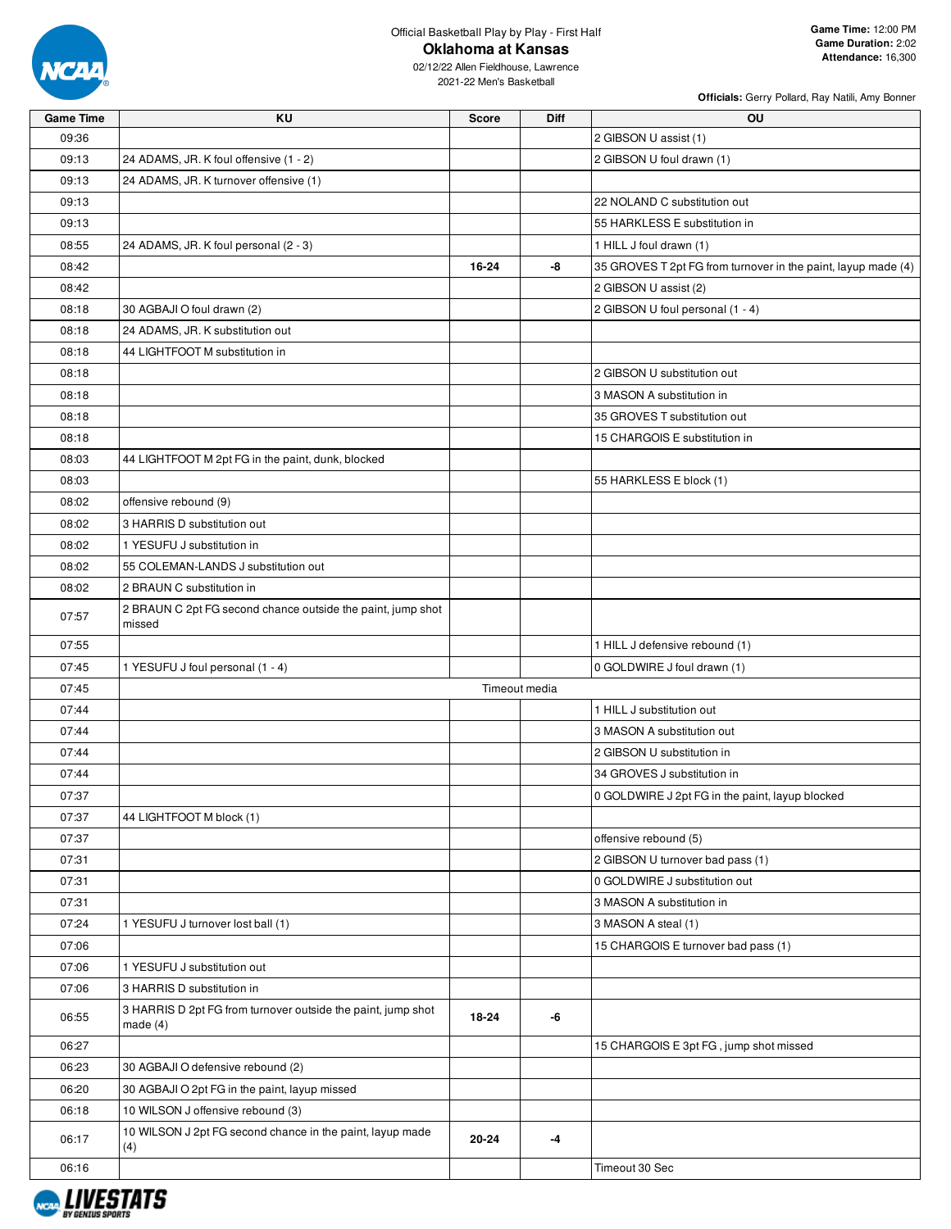

02/12/22 Allen Fieldhouse, Lawrence 2021-22 Men's Basketball

| <b>Game Time</b> | KU                                                                         | <b>Score</b> | Diff          | OU                                                            |
|------------------|----------------------------------------------------------------------------|--------------|---------------|---------------------------------------------------------------|
| 09:36            |                                                                            |              |               | 2 GIBSON U assist (1)                                         |
| 09:13            | 24 ADAMS, JR. K foul offensive (1 - 2)                                     |              |               | 2 GIBSON U foul drawn (1)                                     |
| 09:13            | 24 ADAMS, JR. K turnover offensive (1)                                     |              |               |                                                               |
| 09:13            |                                                                            |              |               | 22 NOLAND C substitution out                                  |
| 09:13            |                                                                            |              |               | 55 HARKLESS E substitution in                                 |
| 08:55            | 24 ADAMS, JR. K foul personal (2 - 3)                                      |              |               | 1 HILL J foul drawn (1)                                       |
| 08:42            |                                                                            | 16-24        | -8            | 35 GROVES T 2pt FG from turnover in the paint, layup made (4) |
| 08:42            |                                                                            |              |               | 2 GIBSON U assist (2)                                         |
| 08:18            | 30 AGBAJI O foul drawn (2)                                                 |              |               | 2 GIBSON U foul personal (1 - 4)                              |
| 08:18            | 24 ADAMS, JR. K substitution out                                           |              |               |                                                               |
| 08:18            | 44 LIGHTFOOT M substitution in                                             |              |               |                                                               |
| 08:18            |                                                                            |              |               | 2 GIBSON U substitution out                                   |
| 08:18            |                                                                            |              |               | 3 MASON A substitution in                                     |
| 08:18            |                                                                            |              |               | 35 GROVES T substitution out                                  |
| 08:18            |                                                                            |              |               | 15 CHARGOIS E substitution in                                 |
| 08:03            | 44 LIGHTFOOT M 2pt FG in the paint, dunk, blocked                          |              |               |                                                               |
| 08:03            |                                                                            |              |               | 55 HARKLESS E block (1)                                       |
| 08:02            | offensive rebound (9)                                                      |              |               |                                                               |
| 08:02            | 3 HARRIS D substitution out                                                |              |               |                                                               |
| 08:02            | 1 YESUFU J substitution in                                                 |              |               |                                                               |
| 08:02            | 55 COLEMAN-LANDS J substitution out                                        |              |               |                                                               |
| 08:02            | 2 BRAUN C substitution in                                                  |              |               |                                                               |
| 07:57            | 2 BRAUN C 2pt FG second chance outside the paint, jump shot<br>missed      |              |               |                                                               |
| 07:55            |                                                                            |              |               | 1 HILL J defensive rebound (1)                                |
| 07:45            | 1 YESUFU J foul personal (1 - 4)                                           |              |               | 0 GOLDWIRE J foul drawn (1)                                   |
| 07:45            |                                                                            |              | Timeout media |                                                               |
| 07:44            |                                                                            |              |               | 1 HILL J substitution out                                     |
| 07:44            |                                                                            |              |               | 3 MASON A substitution out                                    |
| 07:44            |                                                                            |              |               | 2 GIBSON U substitution in                                    |
| 07:44            |                                                                            |              |               | 34 GROVES J substitution in                                   |
| 07:37            |                                                                            |              |               | 0 GOLDWIRE J 2pt FG in the paint, layup blocked               |
| 07:37            | 44 LIGHTFOOT M block (1)                                                   |              |               |                                                               |
| 07:37            |                                                                            |              |               | offensive rebound (5)                                         |
| 07:31            |                                                                            |              |               | 2 GIBSON U turnover bad pass (1)                              |
| 07:31            |                                                                            |              |               | 0 GOLDWIRE J substitution out                                 |
| 07:31            |                                                                            |              |               | 3 MASON A substitution in                                     |
| 07:24            | 1 YESUFU J turnover lost ball (1)                                          |              |               | 3 MASON A steal (1)                                           |
| 07:06            |                                                                            |              |               | 15 CHARGOIS E turnover bad pass (1)                           |
| 07:06            | 1 YESUFU J substitution out                                                |              |               |                                                               |
| 07:06            | 3 HARRIS D substitution in                                                 |              |               |                                                               |
| 06:55            | 3 HARRIS D 2pt FG from turnover outside the paint, jump shot<br>made $(4)$ | 18-24        | -6            |                                                               |
| 06:27            |                                                                            |              |               | 15 CHARGOIS E 3pt FG, jump shot missed                        |
| 06:23            | 30 AGBAJI O defensive rebound (2)                                          |              |               |                                                               |
| 06:20            | 30 AGBAJI O 2pt FG in the paint, layup missed                              |              |               |                                                               |
| 06:18            | 10 WILSON J offensive rebound (3)                                          |              |               |                                                               |
| 06:17            | 10 WILSON J 2pt FG second chance in the paint, layup made<br>(4)           | 20-24        | -4            |                                                               |
| 06:16            |                                                                            |              |               | Timeout 30 Sec                                                |
|                  |                                                                            |              |               |                                                               |

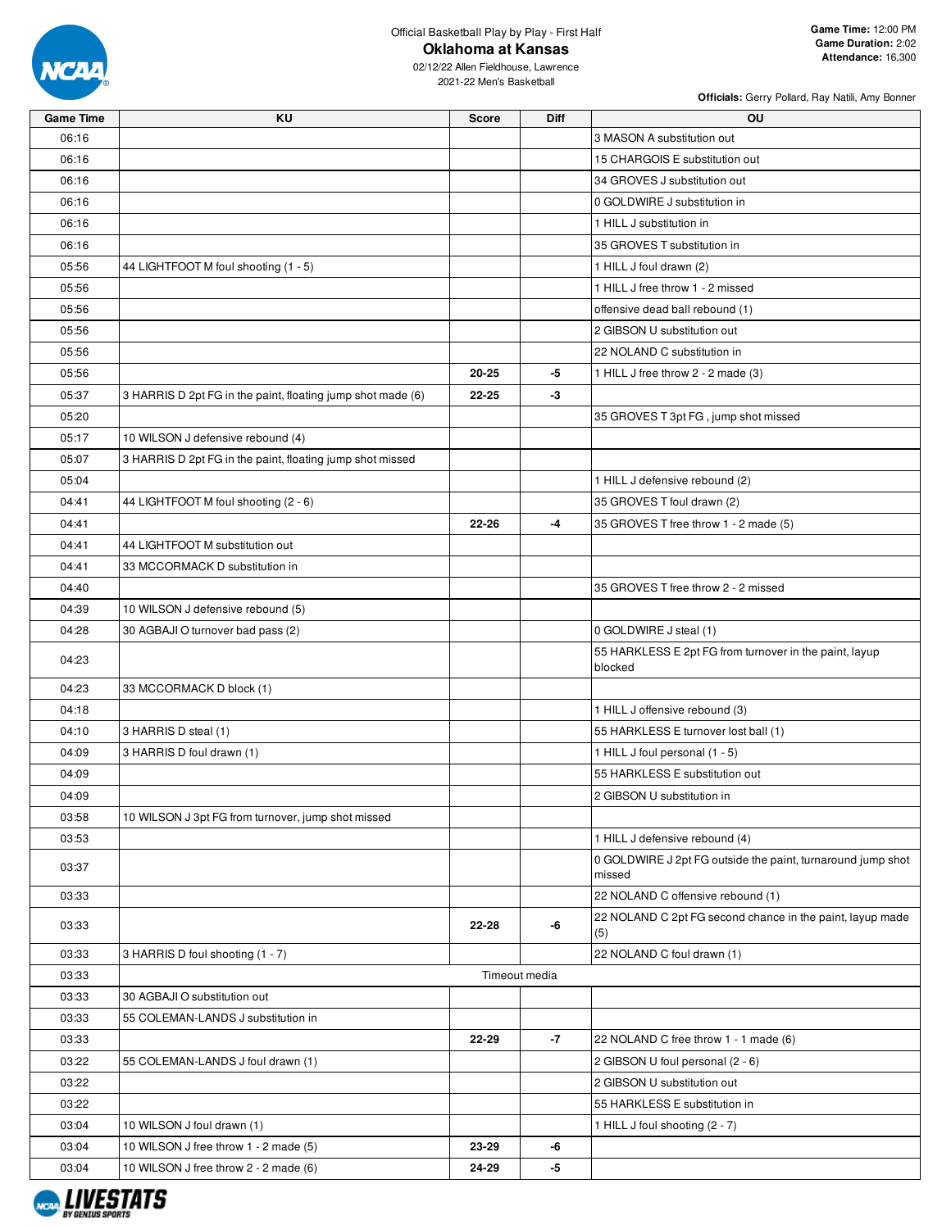

02/12/22 Allen Fieldhouse, Lawrence 2021-22 Men's Basketball

| <b>Game Time</b> | KU                                                          | <b>Score</b>  | <b>Diff</b> | <b>OU</b>                                                             |
|------------------|-------------------------------------------------------------|---------------|-------------|-----------------------------------------------------------------------|
| 06:16            |                                                             |               |             | 3 MASON A substitution out                                            |
| 06:16            |                                                             |               |             | 15 CHARGOIS E substitution out                                        |
| 06:16            |                                                             |               |             | 34 GROVES J substitution out                                          |
| 06:16            |                                                             |               |             | 0 GOLDWIRE J substitution in                                          |
| 06:16            |                                                             |               |             | 1 HILL J substitution in                                              |
| 06:16            |                                                             |               |             | 35 GROVES T substitution in                                           |
| 05:56            | 44 LIGHTFOOT M foul shooting (1 - 5)                        |               |             | 1 HILL J foul drawn (2)                                               |
| 05:56            |                                                             |               |             | 1 HILL J free throw 1 - 2 missed                                      |
| 05:56            |                                                             |               |             | offensive dead ball rebound (1)                                       |
| 05:56            |                                                             |               |             | 2 GIBSON U substitution out                                           |
| 05:56            |                                                             |               |             | 22 NOLAND C substitution in                                           |
| 05:56            |                                                             | $20 - 25$     | -5          | 1 HILL J free throw 2 - 2 made (3)                                    |
| 05:37            | 3 HARRIS D 2pt FG in the paint, floating jump shot made (6) | $22 - 25$     | $-3$        |                                                                       |
| 05:20            |                                                             |               |             | 35 GROVES T 3pt FG, jump shot missed                                  |
| 05:17            | 10 WILSON J defensive rebound (4)                           |               |             |                                                                       |
| 05:07            | 3 HARRIS D 2pt FG in the paint, floating jump shot missed   |               |             |                                                                       |
| 05:04            |                                                             |               |             | 1 HILL J defensive rebound (2)                                        |
| 04:41            | 44 LIGHTFOOT M foul shooting (2 - 6)                        |               |             | 35 GROVES T foul drawn (2)                                            |
| 04:41            |                                                             | 22-26         | $-4$        | 35 GROVES T free throw 1 - 2 made (5)                                 |
| 04:41            | 44 LIGHTFOOT M substitution out                             |               |             |                                                                       |
| 04:41            | 33 MCCORMACK D substitution in                              |               |             |                                                                       |
| 04:40            |                                                             |               |             | 35 GROVES T free throw 2 - 2 missed                                   |
| 04:39            | 10 WILSON J defensive rebound (5)                           |               |             |                                                                       |
| 04:28            | 30 AGBAJI O turnover bad pass (2)                           |               |             | 0 GOLDWIRE J steal (1)                                                |
| 04:23            |                                                             |               |             | 55 HARKLESS E 2pt FG from turnover in the paint, layup<br>blocked     |
| 04:23            | 33 MCCORMACK D block (1)                                    |               |             |                                                                       |
| 04:18            |                                                             |               |             | 1 HILL J offensive rebound (3)                                        |
| 04:10            | 3 HARRIS D steal (1)                                        |               |             | 55 HARKLESS E turnover lost ball (1)                                  |
| 04:09            | 3 HARRIS D foul drawn (1)                                   |               |             | 1 HILL J foul personal (1 - 5)                                        |
| 04:09            |                                                             |               |             | 55 HARKLESS E substitution out                                        |
| 04:09            |                                                             |               |             | 2 GIBSON U substitution in                                            |
| 03:58            | 10 WILSON J 3pt FG from turnover, jump shot missed          |               |             |                                                                       |
| 03:53            |                                                             |               |             | 1 HILL J defensive rebound (4)                                        |
| 03:37            |                                                             |               |             | 0 GOLDWIRE J 2pt FG outside the paint, turnaround jump shot<br>missed |
| 03:33            |                                                             |               |             | 22 NOLAND C offensive rebound (1)                                     |
| 03:33            |                                                             | 22-28         | -6          | 22 NOLAND C 2pt FG second chance in the paint, layup made<br>(5)      |
| 03:33            | 3 HARRIS D foul shooting (1 - 7)                            |               |             | 22 NOLAND C foul drawn (1)                                            |
| 03:33            |                                                             | Timeout media |             |                                                                       |
| 03:33            | 30 AGBAJI O substitution out                                |               |             |                                                                       |
| 03:33            | 55 COLEMAN-LANDS J substitution in                          |               |             |                                                                       |
| 03:33            |                                                             | 22-29         | $-7$        | 22 NOLAND C free throw 1 - 1 made (6)                                 |
| 03:22            | 55 COLEMAN-LANDS J foul drawn (1)                           |               |             | 2 GIBSON U foul personal (2 - 6)                                      |
| 03:22            |                                                             |               |             | 2 GIBSON U substitution out                                           |
| 03:22            |                                                             |               |             | 55 HARKLESS E substitution in                                         |
| 03:04            | 10 WILSON J foul drawn (1)                                  |               |             | 1 HILL J foul shooting (2 - 7)                                        |
| 03:04            | 10 WILSON J free throw 1 - 2 made (5)                       | 23-29         | -6          |                                                                       |
| 03:04            | 10 WILSON J free throw 2 - 2 made (6)                       | 24-29         | -5          |                                                                       |

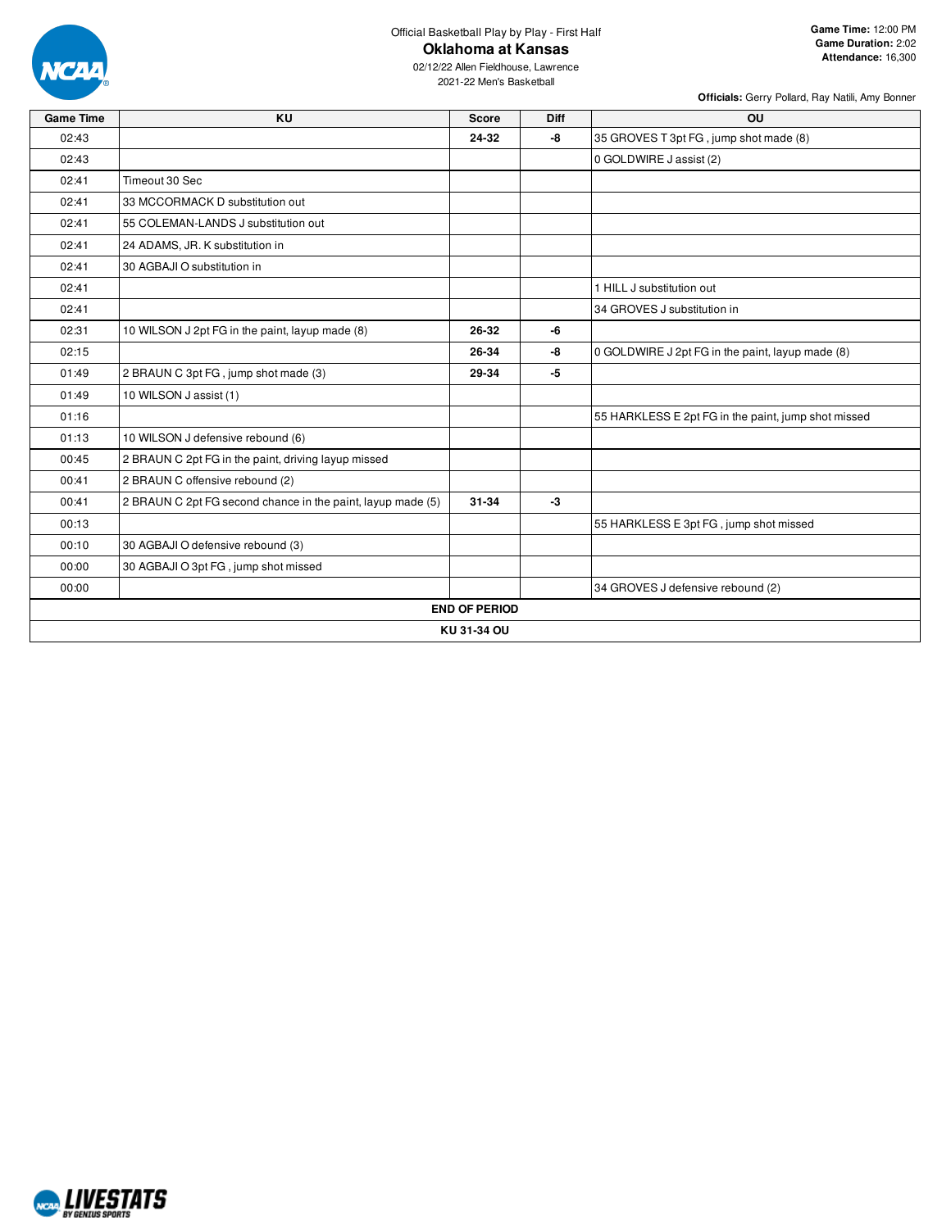

02/12/22 Allen Fieldhouse, Lawrence 2021-22 Men's Basketball

| <b>Game Time</b> | <b>KU</b>                                                   | <b>Score</b>         | <b>Diff</b> | OU                                                  |
|------------------|-------------------------------------------------------------|----------------------|-------------|-----------------------------------------------------|
| 02:43            |                                                             | 24-32                | -8          | 35 GROVES T 3pt FG, jump shot made (8)              |
| 02:43            |                                                             |                      |             | 0 GOLDWIRE J assist (2)                             |
| 02:41            | Timeout 30 Sec                                              |                      |             |                                                     |
| 02:41            | 33 MCCORMACK D substitution out                             |                      |             |                                                     |
| 02:41            | 55 COLEMAN-LANDS J substitution out                         |                      |             |                                                     |
| 02:41            | 24 ADAMS, JR. K substitution in                             |                      |             |                                                     |
| 02:41            | 30 AGBAJI O substitution in                                 |                      |             |                                                     |
| 02:41            |                                                             |                      |             | 1 HILL J substitution out                           |
| 02:41            |                                                             |                      |             | 34 GROVES J substitution in                         |
| 02:31            | 10 WILSON J 2pt FG in the paint, layup made (8)             | 26-32                | -6          |                                                     |
| 02:15            |                                                             | 26-34                | -8          | 0 GOLDWIRE J 2pt FG in the paint, layup made (8)    |
| 01:49            | 2 BRAUN C 3pt FG, jump shot made (3)                        | 29-34                | $-5$        |                                                     |
| 01:49            | 10 WILSON J assist (1)                                      |                      |             |                                                     |
| 01:16            |                                                             |                      |             | 55 HARKLESS E 2pt FG in the paint, jump shot missed |
| 01:13            | 10 WILSON J defensive rebound (6)                           |                      |             |                                                     |
| 00:45            | 2 BRAUN C 2pt FG in the paint, driving layup missed         |                      |             |                                                     |
| 00:41            | 2 BRAUN C offensive rebound (2)                             |                      |             |                                                     |
| 00:41            | 2 BRAUN C 2pt FG second chance in the paint, layup made (5) | 31-34                | $-3$        |                                                     |
| 00:13            |                                                             |                      |             | 55 HARKLESS E 3pt FG, jump shot missed              |
| 00:10            | 30 AGBAJI O defensive rebound (3)                           |                      |             |                                                     |
| 00:00            | 30 AGBAJI O 3pt FG, jump shot missed                        |                      |             |                                                     |
| 00:00            |                                                             |                      |             | 34 GROVES J defensive rebound (2)                   |
|                  |                                                             | <b>END OF PERIOD</b> |             |                                                     |
|                  |                                                             | KU 31-34 OU          |             |                                                     |

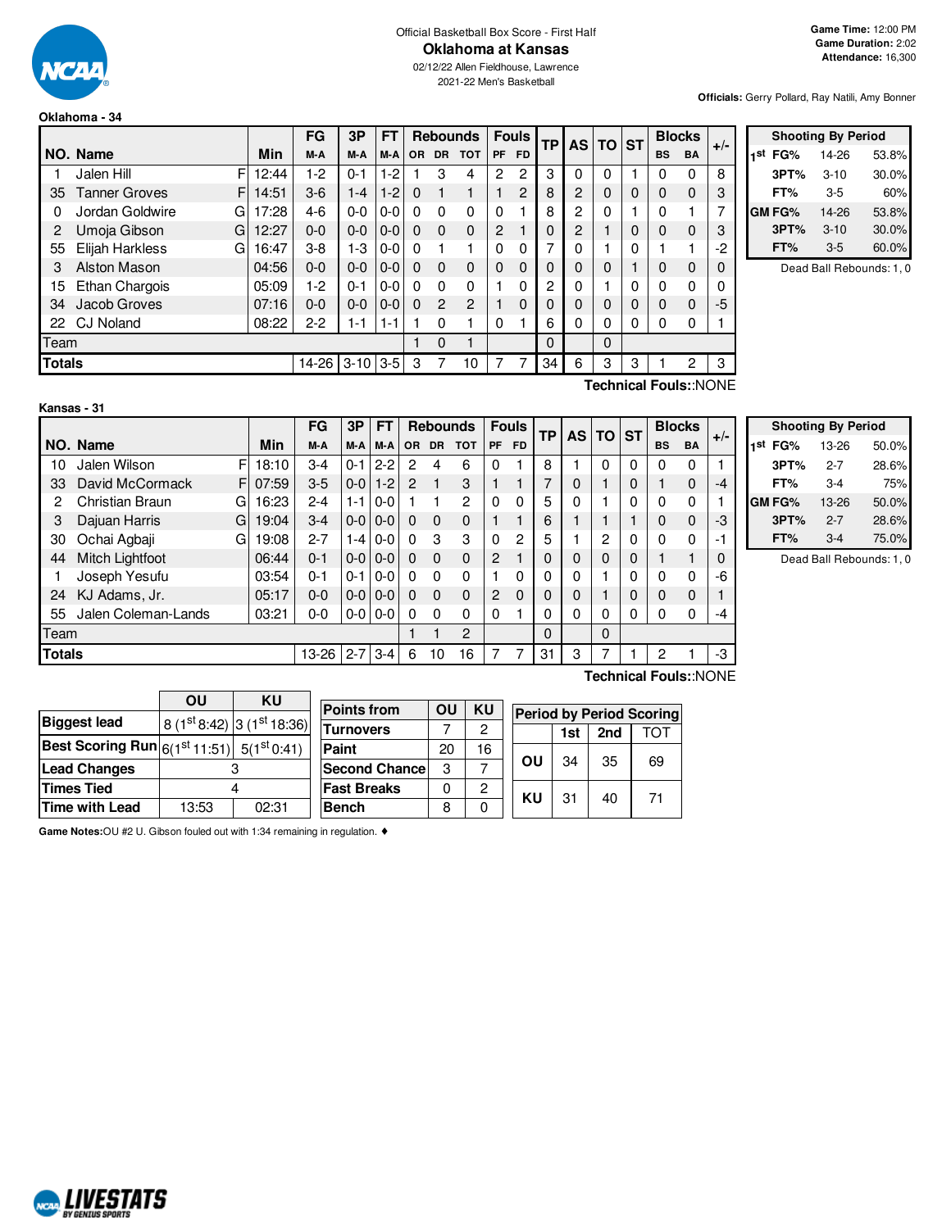

#### Official Basketball Box Score - First Half **Oklahoma at Kansas**

02/12/22 Allen Fieldhouse, Lawrence 2021-22 Men's Basketball

**Officials:** Gerry Pollard, Ray Natili, Amy Bonner

#### **Oklahoma - 34**

|               |                           |       | FG      | 3P         | FТ      |          |                | <b>Rebounds</b> |           | <b>Fouls</b> | <b>TP</b> |                | AS TO ST |   |           | <b>Blocks</b> | $+/-$    |  |
|---------------|---------------------------|-------|---------|------------|---------|----------|----------------|-----------------|-----------|--------------|-----------|----------------|----------|---|-----------|---------------|----------|--|
|               | NO. Name                  | Min   | M-A     | M-A        | M-A     | OR       | <b>DR</b>      | <b>TOT</b>      | <b>PF</b> | <b>FD</b>    |           |                |          |   | <b>BS</b> | <b>BA</b>     |          |  |
|               | F<br>Jalen Hill           | 12:44 | 1-2     | $0 - 1$    | $1 - 2$ |          | 3              | 4               | 2         | 2            | 3         | 0              | 0        |   | 0         | 0             | 8        |  |
| 35            | <b>Tanner Groves</b><br>F | 14:51 | $3-6$   | $1 - 4$    | $1 - 2$ | $\Omega$ |                |                 |           | 2            | 8         | 2              | 0        | 0 | 0         | $\mathbf 0$   | 3        |  |
| 0             | Jordan Goldwire<br>G      | 17:28 | $4-6$   | $0 - 0$    | $0-0$   | $\Omega$ | $\mathbf{0}$   | $\Omega$        | $\Omega$  |              | 8         | $\mathbf{2}$   | 0        |   | $\Omega$  |               | 7        |  |
| 2             | Umoja Gibson<br>G         | 12:27 | $0 - 0$ | $0 - 0$    | $0-0$   | $\Omega$ | $\Omega$       | $\Omega$        | 2         |              | 0         | $\overline{2}$ |          | 0 | $\Omega$  | $\Omega$      | 3        |  |
| 55            | Elijah Harkless<br>G      | 16:47 | $3-8$   | $1-3$      | $0-0$   | $\Omega$ |                |                 | $\Omega$  | 0            | 7         | $\Omega$       |          | 0 |           |               | $-2$     |  |
| 3             | Alston Mason              | 04:56 | $0 - 0$ | $0 - 0$    | $0-0$   | $\Omega$ | $\Omega$       | $\Omega$        | $\Omega$  | $\Omega$     | 0         | $\Omega$       | 0        |   | $\Omega$  | 0             | $\Omega$ |  |
| 15            | Ethan Chargois            | 05:09 | $-2$    | $0 - 1$    | $0 - 0$ | $\Omega$ | $\Omega$       | $\Omega$        |           | $\Omega$     | 2         | $\Omega$       |          | 0 | $\Omega$  | 0             | 0        |  |
| 34            | Jacob Groves              | 07:16 | $0 - 0$ | $0 - 0$    | $0-0$   | $\Omega$ | $\overline{2}$ | $\overline{c}$  |           | $\Omega$     | 0         | $\Omega$       | 0        | 0 | $\Omega$  | $\Omega$      | -5       |  |
| 22            | <b>CJ Noland</b>          | 08:22 | $2 - 2$ | 1-1        | $1 - 1$ |          | 0              |                 | $\Omega$  |              | 6         | 0              | 0        | 0 | 0         | 0             |          |  |
| Team          |                           |       |         |            |         |          | $\Omega$       |                 |           |              | 0         |                | 0        |   |           |               |          |  |
| <b>Totals</b> |                           |       | 14-26   | $3-10$ 3-5 |         | 3        |                | 10              |           |              | 34        | 6              | 3        | 3 |           | 2             | 3        |  |

|     | <b>Shooting By Period</b> |          |       |  |  |  |  |  |  |  |  |  |  |
|-----|---------------------------|----------|-------|--|--|--|--|--|--|--|--|--|--|
| 1st | FG%                       | 14-26    | 53.8% |  |  |  |  |  |  |  |  |  |  |
|     | 3PT%                      | $3 - 10$ | 30.0% |  |  |  |  |  |  |  |  |  |  |
|     | FT%                       | $3-5$    | 60%   |  |  |  |  |  |  |  |  |  |  |
|     | GM FG%                    | 14-26    | 53.8% |  |  |  |  |  |  |  |  |  |  |
|     | 3PT%                      | $3 - 10$ | 30.0% |  |  |  |  |  |  |  |  |  |  |
|     | FT%                       | $3-5$    | 60.0% |  |  |  |  |  |  |  |  |  |  |

Dead Ball Rebounds: 1, 0

| Kansas - 31 |  |  |
|-------------|--|--|

**Technical Fouls:**:NONE

|      |                                   |   |       | FG      | 3P      | <b>FT</b>       |                | <b>Rebounds</b> |             | <b>Fouls</b>   |          | TP | AS I | ΤO | <b>ST</b> | <b>Blocks</b> |              | $+/-$ |
|------|-----------------------------------|---|-------|---------|---------|-----------------|----------------|-----------------|-------------|----------------|----------|----|------|----|-----------|---------------|--------------|-------|
|      | NO. Name                          |   | Min   | M-A     | M-A     | M-A             | <b>OR</b>      | <b>DR</b>       | <b>TOT</b>  | <b>PF</b>      | FD.      |    |      |    |           | <b>BS</b>     | <b>BA</b>    |       |
| 10   | Jalen Wilson                      | F | 18:10 | 3-4     | 0-1     | $2 - 2$         | 2              | 4               | 6           | 0              |          | 8  |      | 0  | 0         | 0             | 0            |       |
| 33   | David McCormack                   | F | 07:59 | $3-5$   | $0-0$   | $1 - 2$         | $\overline{2}$ | 1               | 3           |                |          | 7  | 0    |    | 0         |               | $\mathbf 0$  | $-4$  |
| 2    | Christian Braun                   | G | 16:23 | $2 - 4$ | 1-1     | $0 - 0$         |                |                 | 2           | $\Omega$       | 0        | 5  | 0    |    | 0         | 0             | 0            |       |
| 3    | Dajuan Harris                     | G | 19:04 | $3-4$   |         | $0 - 0 0 - 0 1$ | $\Omega$       | $\Omega$        | $\mathbf 0$ |                |          | 6  |      |    |           | 0             | $\mathbf{0}$ | $-3$  |
| 30   | Ochai Agbaji                      | G | 19:08 | $2 - 7$ | 1-4 I   | $0 - 0$         | $\Omega$       | 3               | 3           | 0              | 2        | 5  |      | 2  | 0         | 0             | $\Omega$     | -1    |
| 44   | Mitch Lightfoot                   |   | 06:44 | $0 - 1$ |         | $0 - 0 0 - 0 1$ | $\Omega$       | $\Omega$        | $\mathbf 0$ | $\overline{2}$ |          | 0  | 0    | 0  | 0         |               |              | 0     |
|      | Joseph Yesufu                     |   | 03:54 | 0-1     | $0 - 1$ | $0-0$           | $\Omega$       | $\Omega$        | $\Omega$    |                | 0        | 0  | 0    |    | 0         | 0             | 0            | -6    |
| 24   | KJ Adams, Jr.                     |   | 05:17 | $0 - 0$ |         | $0 - 0 0 - 0$   | $\Omega$       | $\Omega$        | $\mathbf 0$ | 2              | $\Omega$ | 0  | 0    |    | 0         | 0             | $\mathbf 0$  |       |
| 55   | Jalen Coleman-Lands               |   | 03:21 | $0-0$   |         | $0 - 0$   0-0   | $\Omega$       | $\Omega$        | $\Omega$    | $\Omega$       |          | 0  | 0    | 0  | 0         | 0             | 0            | $-4$  |
| Team |                                   |   |       |         |         |                 | $\overline{2}$ |                 |             | 0              |          | 0  |      |    |           |               |              |       |
|      | <b>Totals</b><br>$2 - 7$<br>13-26 |   |       |         |         | $3 - 4$         | 6              | 10              | 16          |                |          | 31 | 3    |    |           | 2             |              | $-3$  |
|      | Technical Fouls::NONE             |   |       |         |         |                 |                |                 |             |                |          |    |      |    |           |               |              |       |

|                     | <b>Shooting By Period</b> |       |  |  |  |  |  |  |  |  |  |  |
|---------------------|---------------------------|-------|--|--|--|--|--|--|--|--|--|--|
| 1 <sup>st</sup> FG% | 13-26                     | 50.0% |  |  |  |  |  |  |  |  |  |  |
| 3PT%                | $2 - 7$                   | 28.6% |  |  |  |  |  |  |  |  |  |  |
| FT%                 | 3-4                       | 75%   |  |  |  |  |  |  |  |  |  |  |
| GM FG%              | 13-26                     | 50.0% |  |  |  |  |  |  |  |  |  |  |
| 3PT%                | $2 - 7$                   | 28.6% |  |  |  |  |  |  |  |  |  |  |
| FT%                 | $3-4$                     | 75.0% |  |  |  |  |  |  |  |  |  |  |

Dead Ball Rebounds: 1, 0

|                                                          | OU    | KU                           |                      |    |           |    |     |     |                                 |
|----------------------------------------------------------|-------|------------------------------|----------------------|----|-----------|----|-----|-----|---------------------------------|
|                                                          |       |                              | <b>Points from</b>   | OU | <b>KU</b> |    |     |     | <b>Period by Period Scoring</b> |
| <b>Biggest lead</b>                                      |       | $ 8(1st 8:42) 3(1st 18:36) $ | <b>Turnovers</b>     |    | 2         |    | 1st | 2nd | TOT                             |
| <b>Best Scoring Run</b> $ 6(1^{st}11:51)  5(1^{st}0:41)$ |       |                              | Paint                | 20 | 16        |    |     |     |                                 |
| <b>Lead Changes</b>                                      |       |                              | <b>Second Chance</b> | 3  |           | ΟU | 34  | 35  | 69                              |
| <b>Times Tied</b>                                        |       |                              | <b>Fast Breaks</b>   | 0  | 2         | KU |     |     |                                 |
| <b>Time with Lead</b>                                    | 13:53 | 02:31                        | <b>Bench</b>         | 8  |           |    | 31  | 40  | 71                              |

**Game Notes:**OU #2 U. Gibson fouled out with 1:34 remaining in regulation. ♦

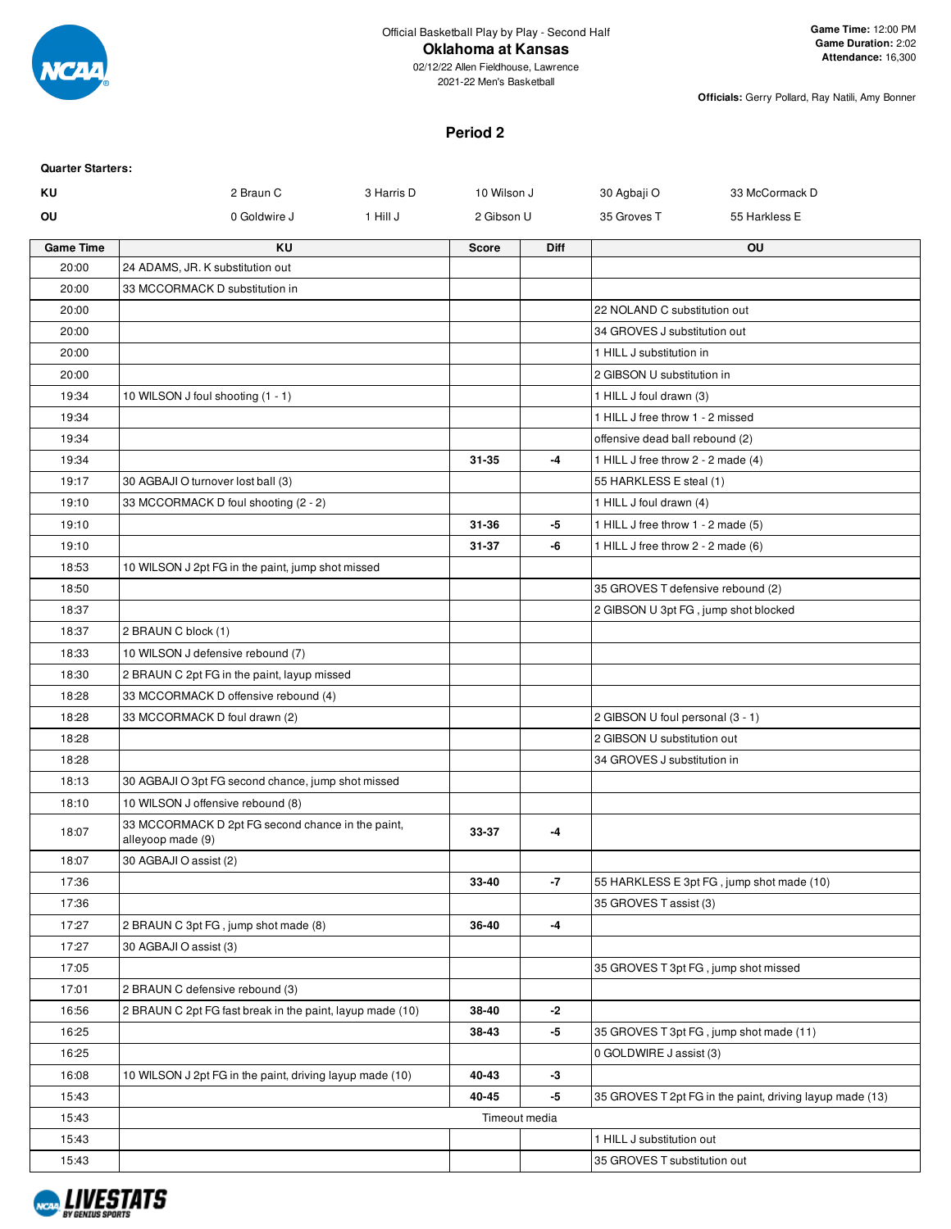

02/12/22 Allen Fieldhouse, Lawrence 2021-22 Men's Basketball

**Officials:** Gerry Pollard, Ray Natili, Amy Bonner

# **Period 2**

| <b>Quarter Starters:</b> |                                                                        |            |               |             |                                      |                                                          |
|--------------------------|------------------------------------------------------------------------|------------|---------------|-------------|--------------------------------------|----------------------------------------------------------|
| ΚU                       | 2 Braun C                                                              | 3 Harris D | 10 Wilson J   |             | 30 Agbaji O                          | 33 McCormack D                                           |
| OU                       | 0 Goldwire J                                                           | 1 Hill J   | 2 Gibson U    |             | 35 Groves T                          | 55 Harkless E                                            |
| <b>Game Time</b>         | <b>KU</b>                                                              |            | <b>Score</b>  | <b>Diff</b> |                                      | OU                                                       |
| 20:00                    | 24 ADAMS, JR. K substitution out                                       |            |               |             |                                      |                                                          |
| 20:00                    | 33 MCCORMACK D substitution in                                         |            |               |             |                                      |                                                          |
| 20:00                    |                                                                        |            |               |             | 22 NOLAND C substitution out         |                                                          |
| 20:00                    |                                                                        |            |               |             | 34 GROVES J substitution out         |                                                          |
| 20:00                    |                                                                        |            |               |             | 1 HILL J substitution in             |                                                          |
| 20:00                    |                                                                        |            |               |             | 2 GIBSON U substitution in           |                                                          |
| 19:34                    | 10 WILSON J foul shooting (1 - 1)                                      |            |               |             | 1 HILL J foul drawn (3)              |                                                          |
| 19:34                    |                                                                        |            |               |             | 1 HILL J free throw 1 - 2 missed     |                                                          |
| 19:34                    |                                                                        |            |               |             | offensive dead ball rebound (2)      |                                                          |
| 19:34                    |                                                                        |            | 31-35         | -4          | 1 HILL J free throw 2 - 2 made (4)   |                                                          |
| 19:17                    | 30 AGBAJI O turnover lost ball (3)                                     |            |               |             | 55 HARKLESS E steal (1)              |                                                          |
| 19:10                    | 33 MCCORMACK D foul shooting (2 - 2)                                   |            |               |             | 1 HILL J foul drawn (4)              |                                                          |
| 19:10                    |                                                                        |            | 31-36         | -5          | 1 HILL J free throw 1 - 2 made (5)   |                                                          |
| 19:10                    |                                                                        |            | $31 - 37$     | -6          | 1 HILL J free throw 2 - 2 made (6)   |                                                          |
| 18:53                    | 10 WILSON J 2pt FG in the paint, jump shot missed                      |            |               |             |                                      |                                                          |
| 18:50                    |                                                                        |            |               |             | 35 GROVES T defensive rebound (2)    |                                                          |
| 18:37                    |                                                                        |            |               |             | 2 GIBSON U 3pt FG, jump shot blocked |                                                          |
| 18:37                    | 2 BRAUN C block (1)                                                    |            |               |             |                                      |                                                          |
| 18:33                    | 10 WILSON J defensive rebound (7)                                      |            |               |             |                                      |                                                          |
| 18:30                    | 2 BRAUN C 2pt FG in the paint, layup missed                            |            |               |             |                                      |                                                          |
| 18:28                    | 33 MCCORMACK D offensive rebound (4)                                   |            |               |             |                                      |                                                          |
| 18:28                    | 33 MCCORMACK D foul drawn (2)                                          |            |               |             | 2 GIBSON U foul personal (3 - 1)     |                                                          |
| 18:28                    |                                                                        |            |               |             | 2 GIBSON U substitution out          |                                                          |
| 18:28                    |                                                                        |            |               |             | 34 GROVES J substitution in          |                                                          |
|                          |                                                                        |            |               |             |                                      |                                                          |
| 18:13                    | 30 AGBAJI O 3pt FG second chance, jump shot missed                     |            |               |             |                                      |                                                          |
| 18:10                    | 10 WILSON J offensive rebound (8)                                      |            |               |             |                                      |                                                          |
| 18:07                    | 33 MCCORMACK D 2pt FG second chance in the paint,<br>alleyoop made (9) |            | 33-37         | -4          |                                      |                                                          |
| 18:07                    | 30 AGBAJI O assist (2)                                                 |            |               |             |                                      |                                                          |
| 17:36                    |                                                                        |            | 33-40         | -7          |                                      | 55 HARKLESS E 3pt FG, jump shot made (10)                |
| 17:36                    |                                                                        |            |               |             | 35 GROVES T assist (3)               |                                                          |
| 17:27                    | 2 BRAUN C 3pt FG, jump shot made (8)                                   |            | 36-40         | $-4$        |                                      |                                                          |
| 17:27                    | 30 AGBAJI O assist (3)                                                 |            |               |             |                                      |                                                          |
| 17:05                    |                                                                        |            |               |             | 35 GROVES T 3pt FG, jump shot missed |                                                          |
| 17:01                    | 2 BRAUN C defensive rebound (3)                                        |            |               |             |                                      |                                                          |
| 16:56                    | 2 BRAUN C 2pt FG fast break in the paint, layup made (10)              |            | 38-40         | -2          |                                      |                                                          |
| 16:25                    |                                                                        |            | 38-43         | -5          |                                      | 35 GROVES T 3pt FG, jump shot made (11)                  |
| 16:25                    |                                                                        |            |               |             | 0 GOLDWIRE J assist (3)              |                                                          |
| 16:08                    | 10 WILSON J 2pt FG in the paint, driving layup made (10)               |            | 40-43         | $-3$        |                                      |                                                          |
| 15:43                    |                                                                        |            | 40-45         | -5          |                                      | 35 GROVES T 2pt FG in the paint, driving layup made (13) |
| 15:43                    |                                                                        |            | Timeout media |             |                                      |                                                          |
| 15:43                    |                                                                        |            |               |             | 1 HILL J substitution out            |                                                          |
| 15:43                    |                                                                        |            |               |             | 35 GROVES T substitution out         |                                                          |
|                          |                                                                        |            |               |             |                                      |                                                          |

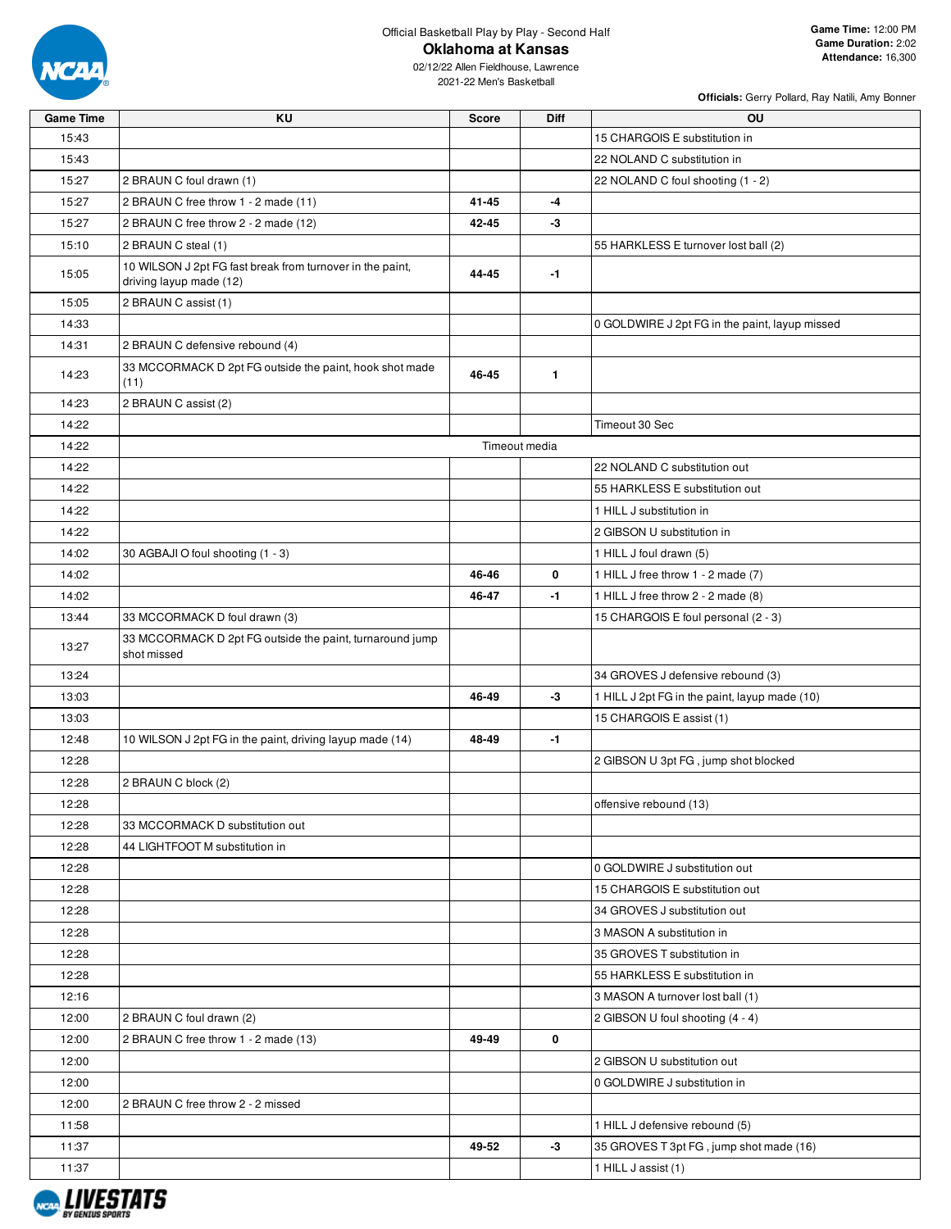

02/12/22 Allen Fieldhouse, Lawrence 2021-22 Men's Basketball

| <b>Game Time</b> | KU                                                                                   | <b>Score</b>  | <b>Diff</b>  | OU                                             |  |  |  |  |
|------------------|--------------------------------------------------------------------------------------|---------------|--------------|------------------------------------------------|--|--|--|--|
| 15:43            |                                                                                      |               |              | 15 CHARGOIS E substitution in                  |  |  |  |  |
| 15:43            |                                                                                      |               |              | 22 NOLAND C substitution in                    |  |  |  |  |
| 15:27            | 2 BRAUN C foul drawn (1)                                                             |               |              | 22 NOLAND C foul shooting (1 - 2)              |  |  |  |  |
| 15:27            | 2 BRAUN C free throw 1 - 2 made (11)                                                 | 41-45         | -4           |                                                |  |  |  |  |
| 15:27            | 2 BRAUN C free throw 2 - 2 made (12)                                                 | 42-45         | -3           |                                                |  |  |  |  |
| 15:10            | 2 BRAUN C steal (1)                                                                  |               |              | 55 HARKLESS E turnover lost ball (2)           |  |  |  |  |
| 15:05            | 10 WILSON J 2pt FG fast break from turnover in the paint,<br>driving layup made (12) | 44-45         | $-1$         |                                                |  |  |  |  |
| 15:05            | 2 BRAUN C assist (1)                                                                 |               |              |                                                |  |  |  |  |
| 14:33            |                                                                                      |               |              | 0 GOLDWIRE J 2pt FG in the paint, layup missed |  |  |  |  |
| 14:31            | 2 BRAUN C defensive rebound (4)                                                      |               |              |                                                |  |  |  |  |
| 14:23            | 33 MCCORMACK D 2pt FG outside the paint, hook shot made<br>(11)                      | 46-45         | $\mathbf{1}$ |                                                |  |  |  |  |
| 14:23            | 2 BRAUN C assist (2)                                                                 |               |              |                                                |  |  |  |  |
| 14:22            |                                                                                      |               |              | Timeout 30 Sec                                 |  |  |  |  |
| 14:22            |                                                                                      | Timeout media |              |                                                |  |  |  |  |
| 14:22            |                                                                                      |               |              | 22 NOLAND C substitution out                   |  |  |  |  |
| 14:22            |                                                                                      |               |              | 55 HARKLESS E substitution out                 |  |  |  |  |
| 14:22            |                                                                                      |               |              | 1 HILL J substitution in                       |  |  |  |  |
| 14:22            |                                                                                      |               |              | 2 GIBSON U substitution in                     |  |  |  |  |
| 14:02            | 30 AGBAJI O foul shooting (1 - 3)                                                    |               |              | 1 HILL J foul drawn (5)                        |  |  |  |  |
| 14:02            |                                                                                      | 46-46         | 0            | 1 HILL J free throw 1 - 2 made (7)             |  |  |  |  |
| 14:02            |                                                                                      | 46-47         | $-1$         | 1 HILL J free throw 2 - 2 made (8)             |  |  |  |  |
| 13:44            | 33 MCCORMACK D foul drawn (3)                                                        |               |              | 15 CHARGOIS E foul personal (2 - 3)            |  |  |  |  |
| 13:27            | 33 MCCORMACK D 2pt FG outside the paint, turnaround jump<br>shot missed              |               |              |                                                |  |  |  |  |
| 13:24            |                                                                                      |               |              | 34 GROVES J defensive rebound (3)              |  |  |  |  |
| 13:03            |                                                                                      | 46-49         | $-3$         | 1 HILL J 2pt FG in the paint, layup made (10)  |  |  |  |  |
| 13:03            |                                                                                      |               |              | 15 CHARGOIS E assist (1)                       |  |  |  |  |
| 12:48            | 10 WILSON J 2pt FG in the paint, driving layup made (14)                             | 48-49         | $-1$         |                                                |  |  |  |  |
| 12:28            |                                                                                      |               |              | 2 GIBSON U 3pt FG, jump shot blocked           |  |  |  |  |
| 12:28            | 2 BRAUN C block (2)                                                                  |               |              |                                                |  |  |  |  |
| 12:28            |                                                                                      |               |              | offensive rebound (13)                         |  |  |  |  |
| 12:28            | 33 MCCORMACK D substitution out                                                      |               |              |                                                |  |  |  |  |
| 12:28            | 44 LIGHTFOOT M substitution in                                                       |               |              |                                                |  |  |  |  |
| 12:28            |                                                                                      |               |              | 0 GOLDWIRE J substitution out                  |  |  |  |  |
| 12:28            |                                                                                      |               |              | 15 CHARGOIS E substitution out                 |  |  |  |  |
| 12:28            |                                                                                      |               |              | 34 GROVES J substitution out                   |  |  |  |  |
| 12:28            |                                                                                      |               |              | 3 MASON A substitution in                      |  |  |  |  |
| 12:28            |                                                                                      |               |              | 35 GROVES T substitution in                    |  |  |  |  |
| 12:28            |                                                                                      |               |              | 55 HARKLESS E substitution in                  |  |  |  |  |
| 12:16            |                                                                                      |               |              | 3 MASON A turnover lost ball (1)               |  |  |  |  |
| 12:00            | 2 BRAUN C foul drawn (2)                                                             |               |              | 2 GIBSON U foul shooting (4 - 4)               |  |  |  |  |
| 12:00            | 2 BRAUN C free throw 1 - 2 made (13)                                                 | 49-49         | 0            |                                                |  |  |  |  |
| 12:00            |                                                                                      |               |              | 2 GIBSON U substitution out                    |  |  |  |  |
| 12:00            |                                                                                      |               |              | 0 GOLDWIRE J substitution in                   |  |  |  |  |
| 12:00            | 2 BRAUN C free throw 2 - 2 missed                                                    |               |              |                                                |  |  |  |  |
| 11:58            |                                                                                      |               |              | 1 HILL J defensive rebound (5)                 |  |  |  |  |
| 11:37            |                                                                                      | 49-52         | -3           | 35 GROVES T 3pt FG, jump shot made (16)        |  |  |  |  |
| 11:37            |                                                                                      |               |              | 1 HILL J assist (1)                            |  |  |  |  |

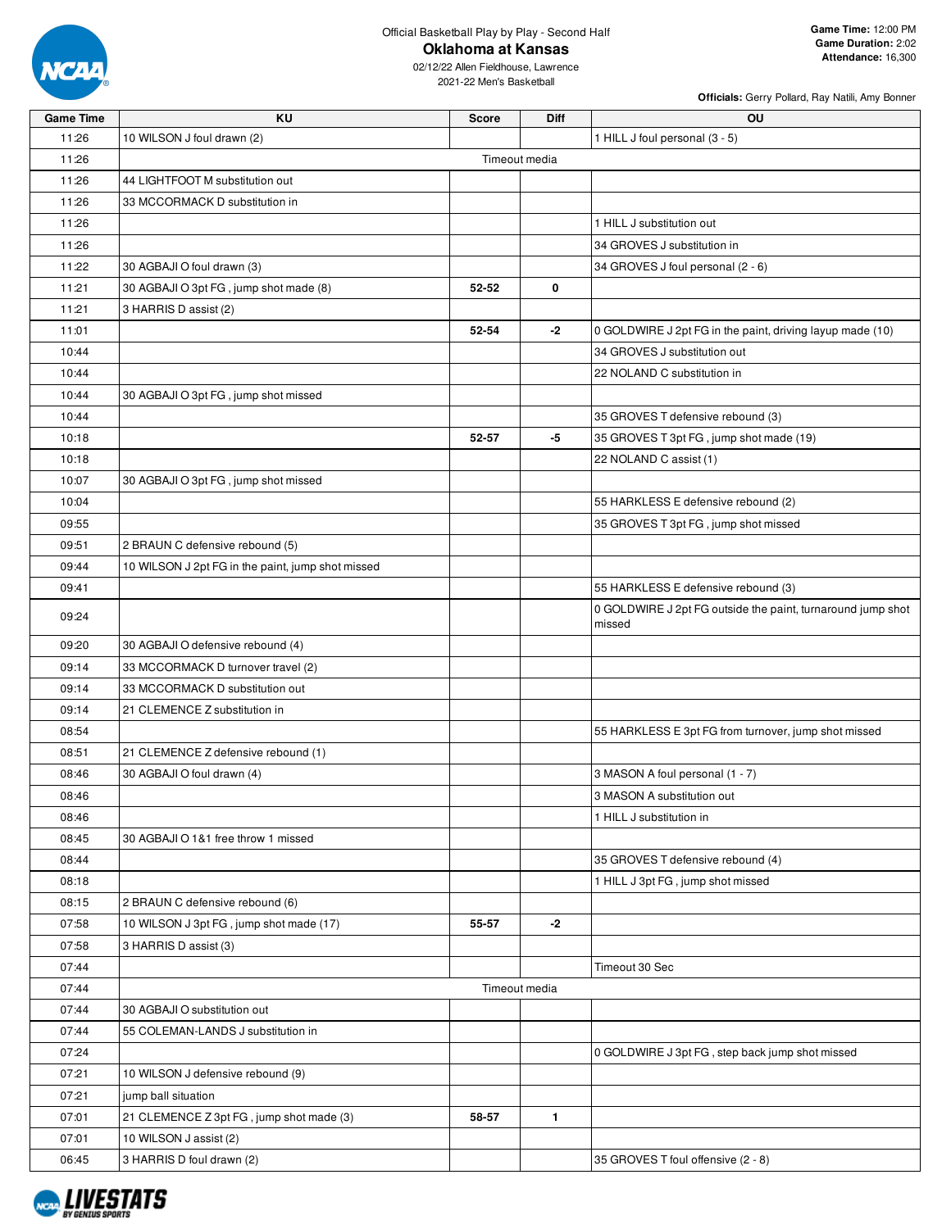

02/12/22 Allen Fieldhouse, Lawrence 2021-22 Men's Basketball

| <b>Game Time</b> | KU                                                | <b>Score</b>  | <b>Diff</b>   | OU                                                          |
|------------------|---------------------------------------------------|---------------|---------------|-------------------------------------------------------------|
| 11:26            | 10 WILSON J foul drawn (2)                        |               |               | 1 HILL J foul personal (3 - 5)                              |
| 11:26            |                                                   |               | Timeout media |                                                             |
| 11:26            | 44 LIGHTFOOT M substitution out                   |               |               |                                                             |
| 11:26            | 33 MCCORMACK D substitution in                    |               |               |                                                             |
| 11:26            |                                                   |               |               | 1 HILL J substitution out                                   |
| 11:26            |                                                   |               |               | 34 GROVES J substitution in                                 |
| 11:22            | 30 AGBAJI O foul drawn (3)                        |               |               | 34 GROVES J foul personal (2 - 6)                           |
| 11:21            | 30 AGBAJI O 3pt FG, jump shot made (8)            | 52-52         | 0             |                                                             |
| 11:21            | 3 HARRIS D assist (2)                             |               |               |                                                             |
| 11:01            |                                                   | 52-54         | -2            | 0 GOLDWIRE J 2pt FG in the paint, driving layup made (10)   |
| 10:44            |                                                   |               |               | 34 GROVES J substitution out                                |
| 10:44            |                                                   |               |               | 22 NOLAND C substitution in                                 |
| 10:44            | 30 AGBAJI O 3pt FG, jump shot missed              |               |               |                                                             |
| 10:44            |                                                   |               |               | 35 GROVES T defensive rebound (3)                           |
| 10:18            |                                                   | 52-57         | -5            | 35 GROVES T 3pt FG, jump shot made (19)                     |
| 10:18            |                                                   |               |               | 22 NOLAND C assist (1)                                      |
| 10:07            | 30 AGBAJI O 3pt FG, jump shot missed              |               |               |                                                             |
| 10:04            |                                                   |               |               | 55 HARKLESS E defensive rebound (2)                         |
| 09:55            |                                                   |               |               | 35 GROVES T 3pt FG, jump shot missed                        |
| 09:51            | 2 BRAUN C defensive rebound (5)                   |               |               |                                                             |
| 09:44            | 10 WILSON J 2pt FG in the paint, jump shot missed |               |               |                                                             |
| 09:41            |                                                   |               |               | 55 HARKLESS E defensive rebound (3)                         |
|                  |                                                   |               |               | 0 GOLDWIRE J 2pt FG outside the paint, turnaround jump shot |
| 09:24            |                                                   |               |               | missed                                                      |
| 09:20            | 30 AGBAJI O defensive rebound (4)                 |               |               |                                                             |
| 09:14            | 33 MCCORMACK D turnover travel (2)                |               |               |                                                             |
| 09:14            | 33 MCCORMACK D substitution out                   |               |               |                                                             |
| 09:14            | 21 CLEMENCE Z substitution in                     |               |               |                                                             |
| 08:54            |                                                   |               |               | 55 HARKLESS E 3pt FG from turnover, jump shot missed        |
| 08:51            | 21 CLEMENCE Z defensive rebound (1)               |               |               |                                                             |
| 08:46            | 30 AGBAJI O foul drawn (4)                        |               |               | 3 MASON A foul personal (1 - 7)                             |
| 08:46            |                                                   |               |               | 3 MASON A substitution out                                  |
| 08:46            |                                                   |               |               | 1 HILL J substitution in                                    |
| 08:45            | 30 AGBAJI O 1&1 free throw 1 missed               |               |               |                                                             |
| 08:44            |                                                   |               |               | 35 GROVES T defensive rebound (4)                           |
| 08:18            |                                                   |               |               | 1 HILL J 3pt FG, jump shot missed                           |
| 08:15            | 2 BRAUN C defensive rebound (6)                   |               |               |                                                             |
| 07:58            | 10 WILSON J 3pt FG, jump shot made (17)           | 55-57         | $-2$          |                                                             |
| 07:58            | 3 HARRIS D assist (3)                             |               |               |                                                             |
| 07:44            |                                                   |               |               | Timeout 30 Sec                                              |
| 07:44            |                                                   | Timeout media |               |                                                             |
| 07:44            | 30 AGBAJI O substitution out                      |               |               |                                                             |
| 07:44            | 55 COLEMAN-LANDS J substitution in                |               |               |                                                             |
| 07:24            |                                                   |               |               | 0 GOLDWIRE J 3pt FG, step back jump shot missed             |
| 07:21            | 10 WILSON J defensive rebound (9)                 |               |               |                                                             |
| 07:21            | jump ball situation                               |               |               |                                                             |
| 07:01            | 21 CLEMENCE Z 3pt FG, jump shot made (3)          | 58-57         | $\mathbf{1}$  |                                                             |
| 07:01            | 10 WILSON J assist (2)                            |               |               |                                                             |
| 06:45            | 3 HARRIS D foul drawn (2)                         |               |               | 35 GROVES T foul offensive (2 - 8)                          |

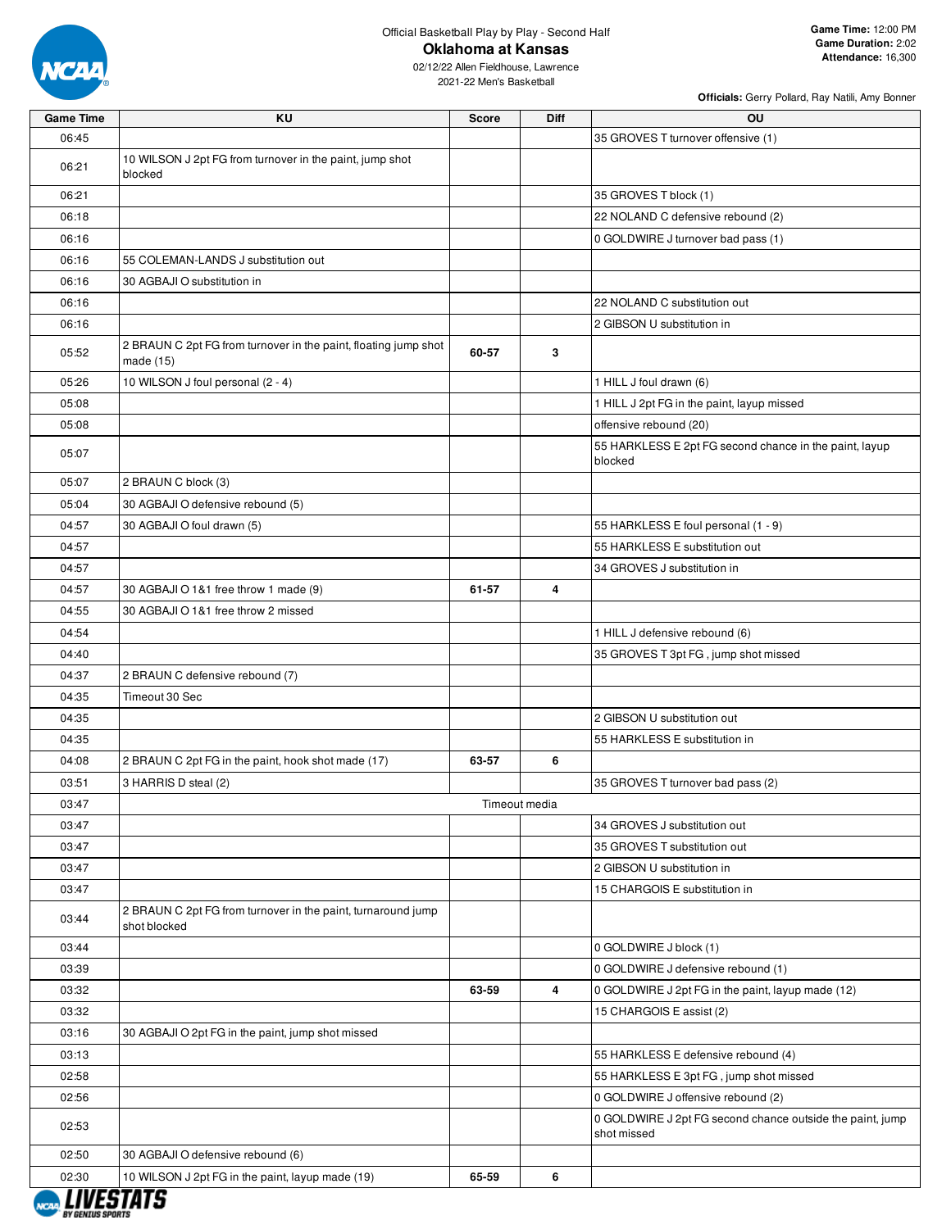

02/12/22 Allen Fieldhouse, Lawrence 2021-22 Men's Basketball

| <b>Game Time</b> | ΚU                                                                           | <b>Score</b> | <b>Diff</b>   | OU                                                                       |
|------------------|------------------------------------------------------------------------------|--------------|---------------|--------------------------------------------------------------------------|
| 06:45            |                                                                              |              |               | 35 GROVES T turnover offensive (1)                                       |
| 06:21            | 10 WILSON J 2pt FG from turnover in the paint, jump shot<br>blocked          |              |               |                                                                          |
| 06:21            |                                                                              |              |               | 35 GROVES T block (1)                                                    |
| 06:18            |                                                                              |              |               | 22 NOLAND C defensive rebound (2)                                        |
| 06:16            |                                                                              |              |               | 0 GOLDWIRE J turnover bad pass (1)                                       |
| 06:16            | 55 COLEMAN-LANDS J substitution out                                          |              |               |                                                                          |
| 06:16            | 30 AGBAJI O substitution in                                                  |              |               |                                                                          |
| 06:16            |                                                                              |              |               | 22 NOLAND C substitution out                                             |
| 06:16            |                                                                              |              |               | 2 GIBSON U substitution in                                               |
| 05:52            | 2 BRAUN C 2pt FG from turnover in the paint, floating jump shot<br>made (15) | 60-57        | 3             |                                                                          |
| 05:26            | 10 WILSON J foul personal (2 - 4)                                            |              |               | 1 HILL J foul drawn (6)                                                  |
| 05:08            |                                                                              |              |               | 1 HILL J 2pt FG in the paint, layup missed                               |
| 05:08            |                                                                              |              |               | offensive rebound (20)                                                   |
| 05:07            |                                                                              |              |               | 55 HARKLESS E 2pt FG second chance in the paint, layup<br>blocked        |
| 05:07            | 2 BRAUN C block (3)                                                          |              |               |                                                                          |
| 05:04            | 30 AGBAJI O defensive rebound (5)                                            |              |               |                                                                          |
| 04:57            | 30 AGBAJI O foul drawn (5)                                                   |              |               | 55 HARKLESS E foul personal (1 - 9)                                      |
| 04:57            |                                                                              |              |               | 55 HARKLESS E substitution out                                           |
| 04:57            |                                                                              |              |               | 34 GROVES J substitution in                                              |
| 04:57            | 30 AGBAJI O 1&1 free throw 1 made (9)                                        | 61-57        | 4             |                                                                          |
| 04:55            | 30 AGBAJI O 1&1 free throw 2 missed                                          |              |               |                                                                          |
| 04:54            |                                                                              |              |               | 1 HILL J defensive rebound (6)                                           |
| 04:40            |                                                                              |              |               | 35 GROVES T 3pt FG, jump shot missed                                     |
| 04:37            | 2 BRAUN C defensive rebound (7)                                              |              |               |                                                                          |
| 04:35            | Timeout 30 Sec                                                               |              |               |                                                                          |
| 04:35            |                                                                              |              |               | 2 GIBSON U substitution out                                              |
| 04:35            |                                                                              |              |               | 55 HARKLESS E substitution in                                            |
| 04:08            | 2 BRAUN C 2pt FG in the paint, hook shot made (17)                           | 63-57        | 6             |                                                                          |
| 03:51            | 3 HARRIS D steal (2)                                                         |              |               | 35 GROVES T turnover bad pass (2)                                        |
| 03:47            |                                                                              |              | Timeout media |                                                                          |
| 03:47            |                                                                              |              |               | 34 GROVES J substitution out                                             |
| 03:47            |                                                                              |              |               | 35 GROVES T substitution out                                             |
| 03:47            |                                                                              |              |               | 2 GIBSON U substitution in                                               |
| 03:47            |                                                                              |              |               | 15 CHARGOIS E substitution in                                            |
| 03:44            | 2 BRAUN C 2pt FG from turnover in the paint, turnaround jump<br>shot blocked |              |               |                                                                          |
| 03:44            |                                                                              |              |               | 0 GOLDWIRE J block (1)                                                   |
| 03:39            |                                                                              |              |               | 0 GOLDWIRE J defensive rebound (1)                                       |
| 03:32            |                                                                              | 63-59        | 4             | 0 GOLDWIRE J 2pt FG in the paint, layup made (12)                        |
| 03:32            |                                                                              |              |               | 15 CHARGOIS E assist (2)                                                 |
| 03:16            | 30 AGBAJI O 2pt FG in the paint, jump shot missed                            |              |               |                                                                          |
| 03:13            |                                                                              |              |               | 55 HARKLESS E defensive rebound (4)                                      |
| 02:58            |                                                                              |              |               | 55 HARKLESS E 3pt FG, jump shot missed                                   |
| 02:56            |                                                                              |              |               | 0 GOLDWIRE J offensive rebound (2)                                       |
| 02:53            |                                                                              |              |               | 0 GOLDWIRE J 2pt FG second chance outside the paint, jump<br>shot missed |
| 02:50            | 30 AGBAJI O defensive rebound (6)                                            |              |               |                                                                          |
| 02:30            | 10 WILSON J 2pt FG in the paint, layup made (19)                             | 65-59        | 6             |                                                                          |

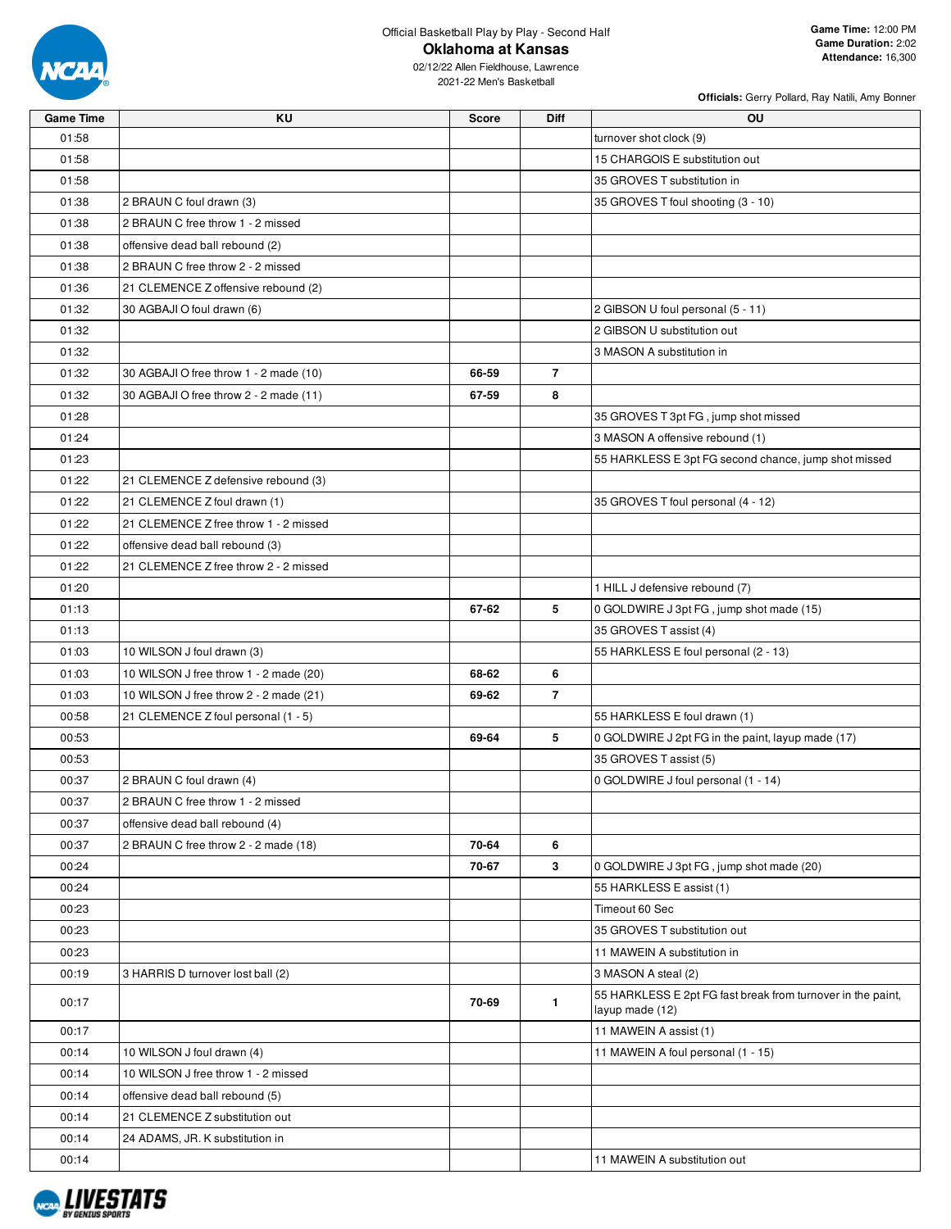

02/12/22 Allen Fieldhouse, Lawrence 2021-22 Men's Basketball

| <b>Game Time</b> | ΚU                                     | <b>Score</b> | Diff           | OU                                                                             |
|------------------|----------------------------------------|--------------|----------------|--------------------------------------------------------------------------------|
| 01:58            |                                        |              |                | turnover shot clock (9)                                                        |
| 01:58            |                                        |              |                | 15 CHARGOIS E substitution out                                                 |
| 01:58            |                                        |              |                | 35 GROVES T substitution in                                                    |
| 01:38            | 2 BRAUN C foul drawn (3)               |              |                | 35 GROVES T foul shooting (3 - 10)                                             |
| 01:38            | 2 BRAUN C free throw 1 - 2 missed      |              |                |                                                                                |
| 01:38            | offensive dead ball rebound (2)        |              |                |                                                                                |
| 01:38            | 2 BRAUN C free throw 2 - 2 missed      |              |                |                                                                                |
| 01:36            | 21 CLEMENCE Z offensive rebound (2)    |              |                |                                                                                |
| 01:32            | 30 AGBAJI O foul drawn (6)             |              |                | 2 GIBSON U foul personal (5 - 11)                                              |
| 01:32            |                                        |              |                | 2 GIBSON U substitution out                                                    |
| 01:32            |                                        |              |                | 3 MASON A substitution in                                                      |
| 01:32            | 30 AGBAJI O free throw 1 - 2 made (10) | 66-59        | $\overline{7}$ |                                                                                |
| 01:32            | 30 AGBAJI O free throw 2 - 2 made (11) | 67-59        | 8              |                                                                                |
| 01:28            |                                        |              |                | 35 GROVES T 3pt FG, jump shot missed                                           |
| 01:24            |                                        |              |                | 3 MASON A offensive rebound (1)                                                |
| 01:23            |                                        |              |                | 55 HARKLESS E 3pt FG second chance, jump shot missed                           |
| 01:22            | 21 CLEMENCE Z defensive rebound (3)    |              |                |                                                                                |
| 01:22            | 21 CLEMENCE Z foul drawn (1)           |              |                | 35 GROVES T foul personal (4 - 12)                                             |
| 01:22            | 21 CLEMENCE Z free throw 1 - 2 missed  |              |                |                                                                                |
| 01:22            | offensive dead ball rebound (3)        |              |                |                                                                                |
| 01:22            | 21 CLEMENCE Z free throw 2 - 2 missed  |              |                |                                                                                |
| 01:20            |                                        |              |                | 1 HILL J defensive rebound (7)                                                 |
| 01:13            |                                        | 67-62        | 5              | 0 GOLDWIRE J 3pt FG, jump shot made (15)                                       |
| 01:13            |                                        |              |                | 35 GROVES T assist (4)                                                         |
| 01:03            | 10 WILSON J foul drawn (3)             |              |                | 55 HARKLESS E foul personal (2 - 13)                                           |
| 01:03            | 10 WILSON J free throw 1 - 2 made (20) | 68-62        | 6              |                                                                                |
| 01:03            | 10 WILSON J free throw 2 - 2 made (21) | 69-62        | $\overline{7}$ |                                                                                |
| 00:58            | 21 CLEMENCE Z foul personal (1 - 5)    |              |                | 55 HARKLESS E foul drawn (1)                                                   |
| 00:53            |                                        | 69-64        | 5              | 0 GOLDWIRE J 2pt FG in the paint, layup made (17)                              |
| 00:53            |                                        |              |                | 35 GROVES T assist (5)                                                         |
| 00:37            | 2 BRAUN C foul drawn (4)               |              |                | 0 GOLDWIRE J foul personal (1 - 14)                                            |
| 00:37            | 2 BRAUN C free throw 1 - 2 missed      |              |                |                                                                                |
| 00:37            | offensive dead ball rebound (4)        |              |                |                                                                                |
| 00:37            | 2 BRAUN C free throw 2 - 2 made (18)   | 70-64        | 6              |                                                                                |
| 00:24            |                                        | 70-67        | $\mathbf{3}$   | 0 GOLDWIRE J 3pt FG, jump shot made (20)                                       |
| 00:24            |                                        |              |                | 55 HARKLESS E assist (1)                                                       |
| 00:23            |                                        |              |                | Timeout 60 Sec                                                                 |
| 00:23            |                                        |              |                | 35 GROVES T substitution out                                                   |
| 00:23            |                                        |              |                | 11 MAWEIN A substitution in                                                    |
| 00:19            | 3 HARRIS D turnover lost ball (2)      |              |                | 3 MASON A steal (2)                                                            |
| 00:17            |                                        | 70-69        | $\mathbf{1}$   | 55 HARKLESS E 2pt FG fast break from turnover in the paint,<br>layup made (12) |
| 00:17            |                                        |              |                | 11 MAWEIN A assist (1)                                                         |
| 00:14            | 10 WILSON J foul drawn (4)             |              |                | 11 MAWEIN A foul personal (1 - 15)                                             |
| 00:14            | 10 WILSON J free throw 1 - 2 missed    |              |                |                                                                                |
| 00:14            | offensive dead ball rebound (5)        |              |                |                                                                                |
| 00:14            | 21 CLEMENCE Z substitution out         |              |                |                                                                                |
| 00:14            | 24 ADAMS, JR. K substitution in        |              |                |                                                                                |
| 00:14            |                                        |              |                | 11 MAWEIN A substitution out                                                   |

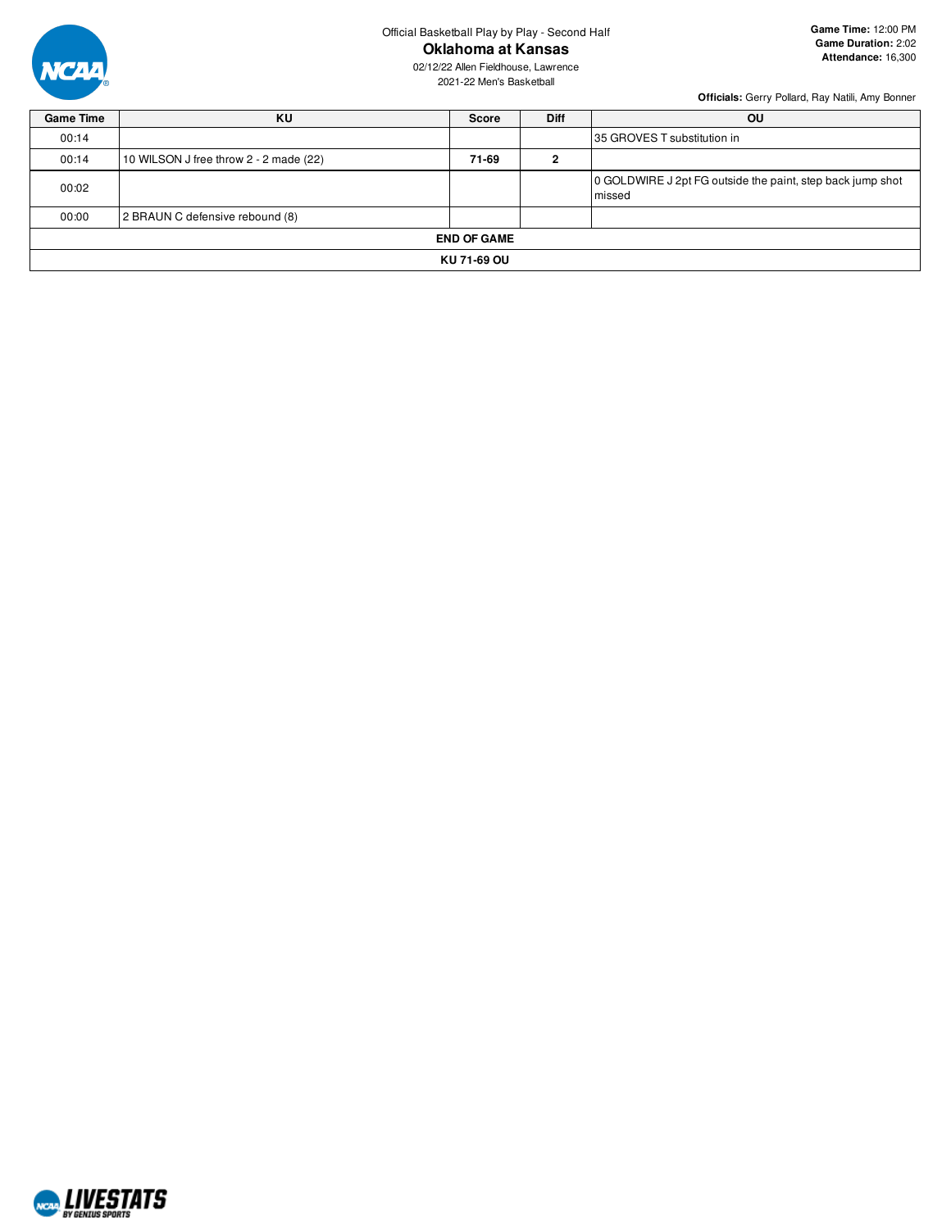

02/12/22 Allen Fieldhouse, Lawrence 2021-22 Men's Basketball

| <b>Game Time</b> | ΚU                                     | <b>Score</b>       | <b>Diff</b> | OU                                                                   |  |  |  |  |  |
|------------------|----------------------------------------|--------------------|-------------|----------------------------------------------------------------------|--|--|--|--|--|
| 00:14            |                                        |                    |             | 35 GROVES T substitution in                                          |  |  |  |  |  |
| 00:14            | 10 WILSON J free throw 2 - 2 made (22) | 71-69              | ົ           |                                                                      |  |  |  |  |  |
| 00:02            |                                        |                    |             | 0 GOLDWIRE J 2pt FG outside the paint, step back jump shot<br>missed |  |  |  |  |  |
| 00:00            | 2 BRAUN C defensive rebound (8)        |                    |             |                                                                      |  |  |  |  |  |
|                  |                                        | <b>END OF GAME</b> |             |                                                                      |  |  |  |  |  |
|                  | KU 71-69 OU                            |                    |             |                                                                      |  |  |  |  |  |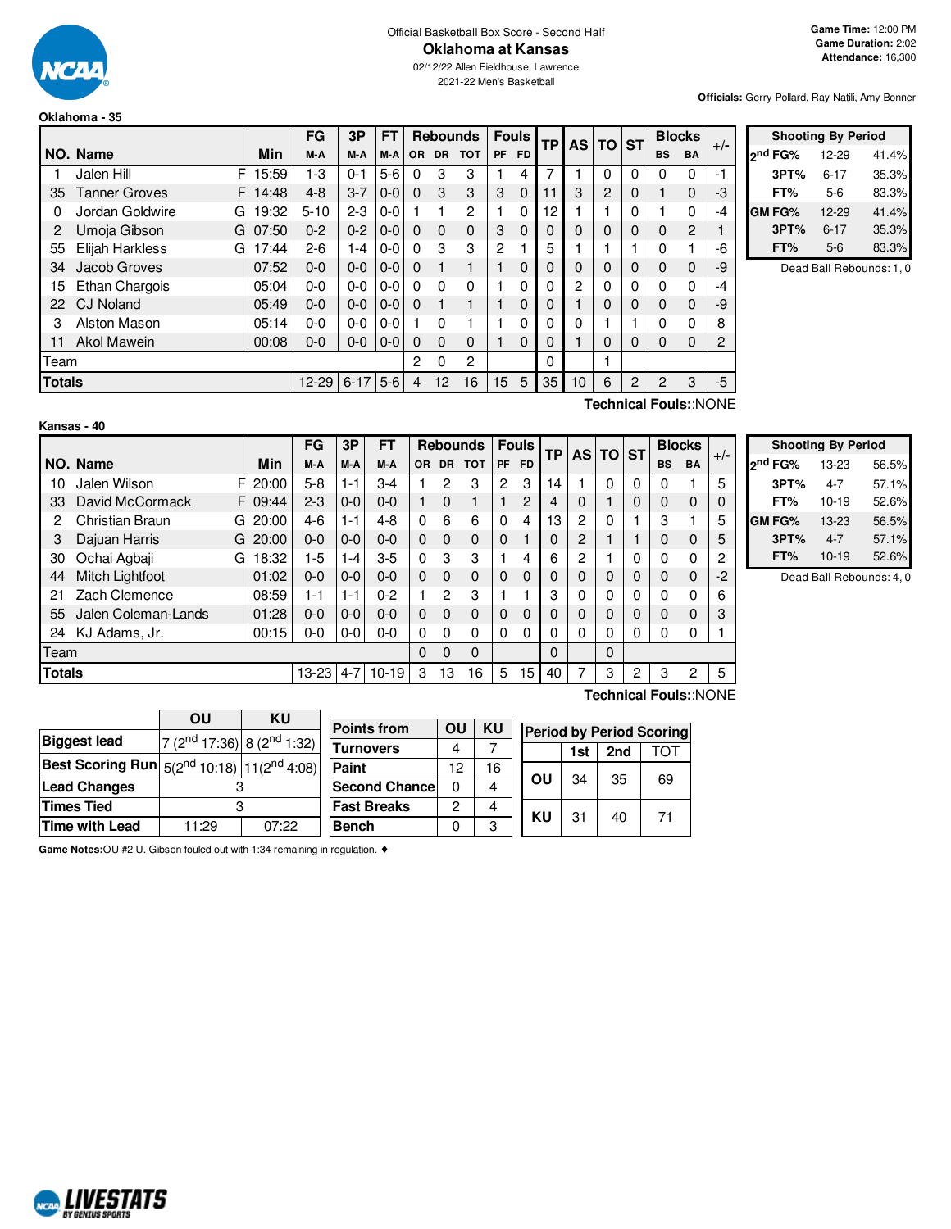

#### Official Basketball Box Score - Second Half **Oklahoma at Kansas**

02/12/22 Allen Fieldhouse, Lawrence 2021-22 Men's Basketball

**Officials:** Gerry Pollard, Ray Natili, Amy Bonner

#### **Oklahoma - 35**

|               |                           |       | FG        | 3P         | <b>FT</b> |                |           | <b>Rebounds</b> |                  | <b>Fouls</b> | <b>TP</b>    |                | <b>AS TO</b>   | <b>ST</b> |           | <b>Blocks</b>                                                                                                            | $+/-$ |         |
|---------------|---------------------------|-------|-----------|------------|-----------|----------------|-----------|-----------------|------------------|--------------|--------------|----------------|----------------|-----------|-----------|--------------------------------------------------------------------------------------------------------------------------|-------|---------|
|               | NO. Name                  | Min   | M-A       | M-A        | M-A       | OR.            | <b>DR</b> | <b>TOT</b>      | PF               | <b>FD</b>    |              |                |                |           | <b>BS</b> | <b>BA</b>                                                                                                                |       | $2^{n}$ |
|               | F<br>Jalen Hill           | 15:59 | 1-3       | $0 - 1$    | $5-6$     | 0              | 3         | 3               |                  | 4            | 7            |                | 0              | 0         | $\Omega$  | 0                                                                                                                        | -1    |         |
| 35            | <b>Tanner Groves</b><br>F | 14:48 | $4 - 8$   | $3 - 7$    | $0-0$     | $\Omega$       | 3         | 3               | 3                | $\mathbf 0$  | 11           | 3              | $\overline{2}$ | 0         |           | 0                                                                                                                        | -3    |         |
| 0             | Jordan Goldwire<br>G      | 19:32 | $5 - 10$  | $2 - 3$    | $0 - 0$   |                |           | $\overline{2}$  |                  | 0            | 12           |                |                | 0         |           | 0                                                                                                                        | $-4$  | GN      |
| 2             | Umoja Gibson<br>Gl        | 07:50 | $0 - 2$   | $0 - 2$    | $0-0$     | $\Omega$       | $\Omega$  | $\mathbf{0}$    | 3                | $\Omega$     | 0            | $\Omega$       | $\mathbf{0}$   | 0         | 0         | 2                                                                                                                        |       |         |
| 55            | Elijah Harkless<br>GI     | 17:44 | $2 - 6$   | 1-4        | $0 - 0$   | 0              | 3         | 3               | $\overline{c}$   |              | 5            |                |                |           | 0         |                                                                                                                          | -6    |         |
| 34            | Jacob Groves              | 07:52 | $0-0$     | $0 - 0$    | $0-0$     | $\Omega$       |           |                 |                  | 0            | 0            | $\Omega$       | $\mathbf 0$    | 0         | 0         | 0                                                                                                                        | -9    |         |
| 15            | <b>Ethan Chargois</b>     | 05:04 | $0 - 0$   | $0-0$      | $0-0$     | 0              | 0         | 0               |                  | 0            | $\Omega$     | $\overline{c}$ | 0              | 0         | 0         | 0                                                                                                                        | $-4$  |         |
| 22            | <b>CJ Noland</b>          | 05:49 | $0 - 0$   | $0 - 0$    | $0 - 0$   | $\Omega$       |           |                 |                  | 0            | 0            |                | $\mathbf{0}$   | 0         | $\Omega$  | 0                                                                                                                        | -9    |         |
| 3             | Alston Mason              | 05:14 | $0 - 0$   | $0-0$      | $0 - 0$   |                | 0         |                 |                  | 0            | 0            | 0              |                |           | 0         | 0                                                                                                                        | 8     |         |
| 11            | <b>Akol Mawein</b>        | 00:08 | $0-0$     | $0-0$      | $0-0$     | $\Omega$       | 0         | $\Omega$        |                  | $\Omega$     | 0            |                | $\Omega$       | 0         | 0         | 0                                                                                                                        | 2     |         |
| Team          |                           |       |           |            |           | $\overline{2}$ | 0         | 2               |                  |              | $\mathbf{0}$ |                |                |           |           |                                                                                                                          |       |         |
| <b>Totals</b> |                           |       | $12 - 29$ | $6-17$ 5-6 |           | 4              | 12        | 16              | 15 <sub>15</sub> | 5            | 35           | 10             | 6              | 2         | 2         | 3                                                                                                                        | -5    |         |
|               |                           |       |           |            |           |                |           |                 |                  |              |              |                | The subset of  |           |           | $\mathbf{A}$ . The set of $\mathbf{A}$ is $\mathbf{A}$ is $\mathbf{A}$ is a set of $\mathbf{A}$ is a set of $\mathbf{A}$ |       |         |

|                     | <b>Shooting By Period</b> |       |
|---------------------|---------------------------|-------|
| <sub>2</sub> nd FG% | 12-29                     | 41.4% |
| 3PT%                | $6 - 17$                  | 35.3% |
| FT%                 | 5-6                       | 83.3% |
| <b>GM FG%</b>       | 12-29                     | 41.4% |
| 3PT%                | $6 - 17$                  | 35.3% |
| FT%                 | 5-6                       | 83.3% |

Dead Ball Rebounds: 1, 0

| Kansas -<br>40 |  |
|----------------|--|
|----------------|--|

**Technical Fouls:**:NONE

|        | טד - כוסכווואו      |    |       |           |         |           |     |                |                 |             |              |           |   |          |   |           |               |       |
|--------|---------------------|----|-------|-----------|---------|-----------|-----|----------------|-----------------|-------------|--------------|-----------|---|----------|---|-----------|---------------|-------|
|        |                     |    |       | FG        | 3P      | <b>FT</b> |     |                | <b>Rebounds</b> |             | <b>Fouls</b> | <b>TP</b> |   | AS TO ST |   |           | <b>Blocks</b> | $+/-$ |
|        | NO. Name            |    | Min   | M-A       | M-A     | M-A       | OR. | <b>DR</b>      | <b>TOT</b>      | PF          | <b>FD</b>    |           |   |          |   | <b>BS</b> | <b>BA</b>     |       |
| 10     | Jalen Wilson        | F  | 20:00 | $5-8$     | l - 1   | $3-4$     |     | 2              | 3               | 2           | 3            | 14        |   | 0        | 0 |           |               | 5     |
| 33     | David McCormack     | F. | 09:44 | $2 - 3$   | $0-0$   | $0 - 0$   |     | $\Omega$       | 1               |             | 2            | 4         | 0 |          | 0 | $\Omega$  | $\mathbf 0$   |       |
| 2      | Christian Braun     | G  | 20:00 | 4-6       | 1-1     | $4 - 8$   | 0   | 6              | 6               | 0           | 4            | 13        | 2 | 0        |   | 3         |               | 5     |
| 3      | Dajuan Harris       | G  | 20:00 | $0 - 0$   | $0 - 0$ | $0 - 0$   | 0   | $\Omega$       | $\Omega$        | $\Omega$    |              | 0         | 2 |          |   | 0         | $\mathbf 0$   | 5     |
| 30     | Ochai Agbaji        | G  | 18:32 | 1-5       | -4      | $3-5$     | 0   | 3              | 3               |             | 4            | 6         | 2 |          |   |           | 0             | 2     |
| 44     | Mitch Lightfoot     |    | 01:02 | $0-0$     | $0-0$   | $0 - 0$   | 0   | $\Omega$       | $\Omega$        | $\Omega$    | 0            | 0         | 0 | 0        | 0 | $\Omega$  | $\mathbf 0$   | -2    |
| 21     | Zach Clemence       |    | 08:59 | 1-1       | 1-1     | $0 - 2$   |     | $\overline{c}$ | 3               |             |              | 3         | 0 | 0        | 0 | 0         | 0             | 6     |
| 55     | Jalen Coleman-Lands |    | 01:28 | $0 - 0$   | $0-0$   | $0 - 0$   | 0   | $\Omega$       | $\Omega$        | $\mathbf 0$ | $\mathbf{0}$ | 0         | 0 | 0        | 0 | 0         | $\mathbf 0$   | 3     |
| 24     | KJ Adams, Jr.       |    | 00:15 | $0-0$     | $0-0$   | $0-0$     | 0   | 0              | $\Omega$        | 0           | 0            | 0         | 0 | 0        | 0 | $\Omega$  | 0             |       |
| Team   |                     |    |       |           |         |           | 0   | $\Omega$       | $\Omega$        |             |              | 0         |   | 0        |   |           |               |       |
| Totals |                     |    |       | $13 - 23$ | $4 - 7$ | $10 - 19$ | 3   | 13             | 16              | 5           | 15           | 40        | 7 | 3        | 2 | 3         | 2             | 5     |

|                     | <b>Shooting By Period</b> |       |  |  |  |  |  |  |  |  |  |  |  |
|---------------------|---------------------------|-------|--|--|--|--|--|--|--|--|--|--|--|
| 2 <sup>nd</sup> FG% | 13-23                     | 56.5% |  |  |  |  |  |  |  |  |  |  |  |
| 3PT%                | $4 - 7$                   | 57.1% |  |  |  |  |  |  |  |  |  |  |  |
| FT%                 | $10-19$                   | 52.6% |  |  |  |  |  |  |  |  |  |  |  |
| GM FG%              | 13-23                     | 56.5% |  |  |  |  |  |  |  |  |  |  |  |
| 3PT%                | $4 - 7$                   | 57.1% |  |  |  |  |  |  |  |  |  |  |  |
| FT%                 | $10 - 19$                 | 52.6% |  |  |  |  |  |  |  |  |  |  |  |

Dead Ball Rebounds: 4, 0

|                                                                  | OU                                        | KU    |                      |    |           |           |               |
|------------------------------------------------------------------|-------------------------------------------|-------|----------------------|----|-----------|-----------|---------------|
|                                                                  |                                           |       | <b>Points from</b>   | ΟU | <b>KU</b> | Period by |               |
| Biggest lead                                                     | $7(2^{nd}17:36)$ 8 (2 <sup>nd</sup> 1:32) |       | <b>Turnovers</b>     | 4  |           |           | 1s            |
| Best Scoring Run $ 5(2^{\text{nd}}10:18) 11(2^{\text{nd}}4:08) $ |                                           |       | Paint                | 12 | 16        |           |               |
| <b>Lead Changes</b>                                              |                                           |       | <b>Second Chance</b> | 0  | 4         | ΟU        | 3'            |
| Times Tied                                                       |                                           |       | <b>Fast Breaks</b>   | 2  |           | KU        | $\mathcal{B}$ |
| Time with Lead                                                   | 11:29                                     | 07:22 | <b>Bench</b>         |    | 3         |           |               |

**Game Notes:**OU #2 U. Gibson fouled out with 1:34 remaining in regulation. ♦

# **Technical Fouls:**:NONE

|   |    | <b>Period by Period Scoring</b> |     |     |  |  |  |  |  |  |  |  |  |  |
|---|----|---------------------------------|-----|-----|--|--|--|--|--|--|--|--|--|--|
|   |    | 1st                             | 2nd | TOT |  |  |  |  |  |  |  |  |  |  |
| ć | OU | 34                              | 35  | 69  |  |  |  |  |  |  |  |  |  |  |
|   | KU | 31                              | 40  | 71  |  |  |  |  |  |  |  |  |  |  |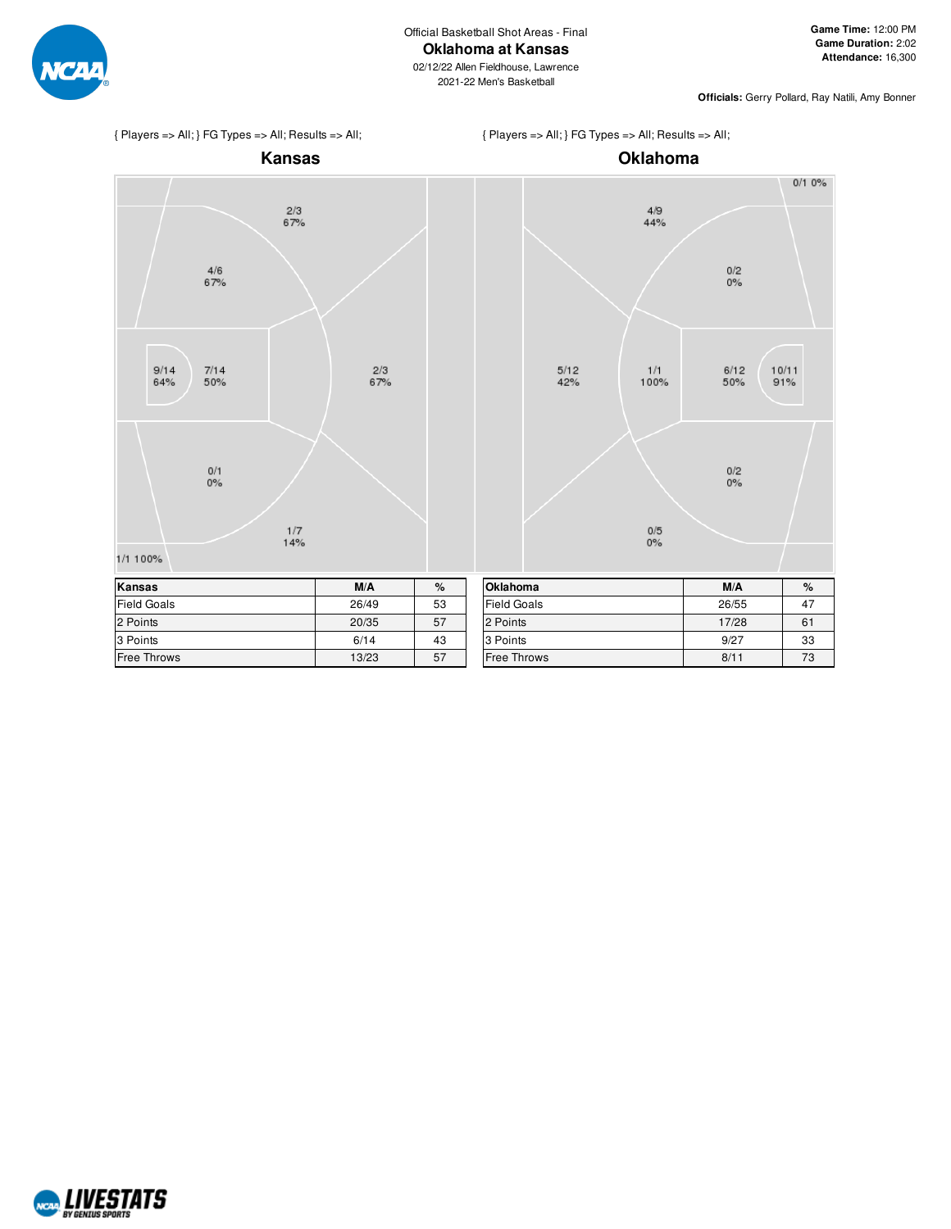

2021-22 Men's Basketball

**Officials:** Gerry Pollard, Ray Natili, Amy Bonner

 $0/10%$ 

 $\frac{0}{2}$ <br>0%

6/12<br>50%

 $\frac{0}{2}$ 

 $10/11$ 

 $91%$ 







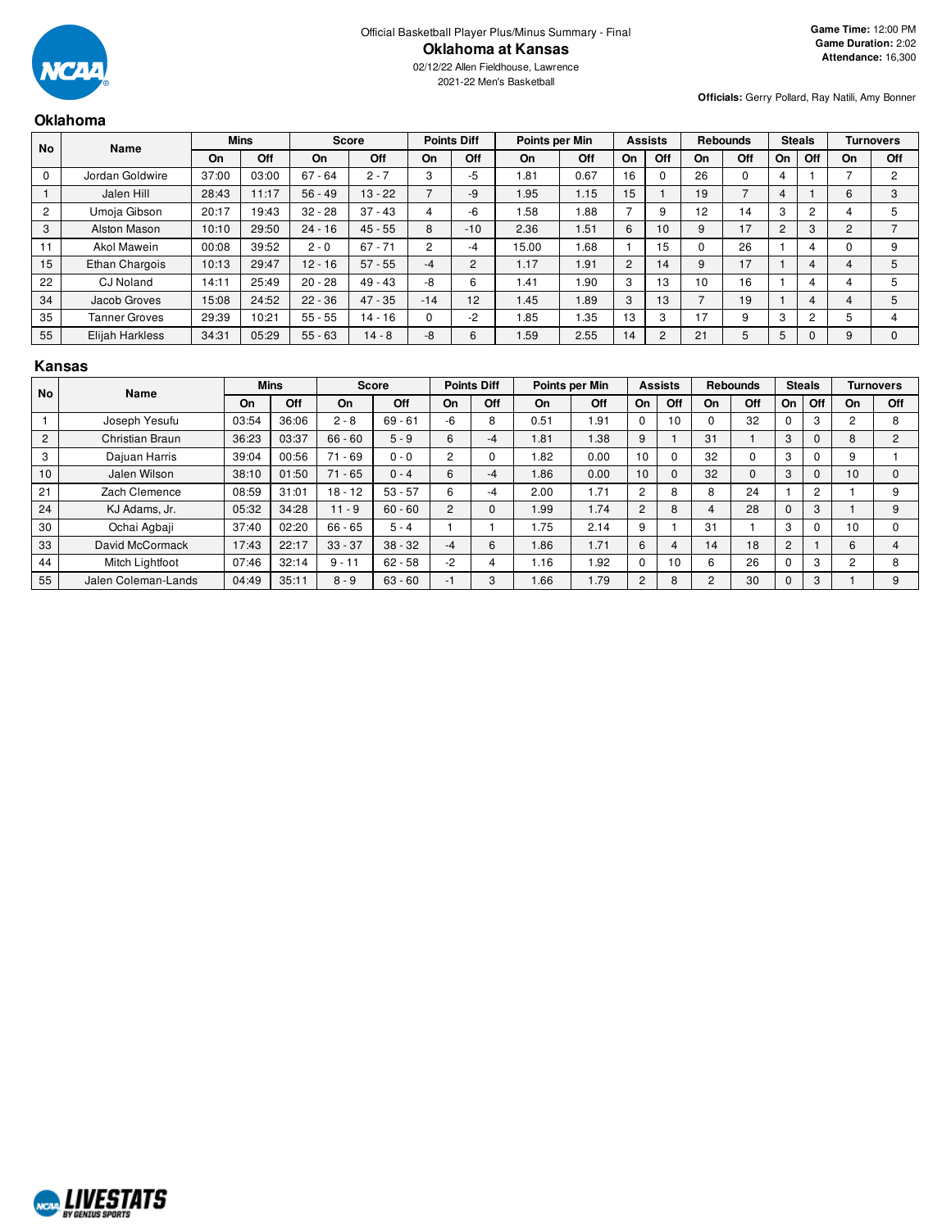

2021-22 Men's Basketball

**Officials:** Gerry Pollard, Ray Natili, Amy Bonner

## **Oklahoma**

| <b>No</b> | Name                 | <b>Mins</b> |       | <b>Score</b> |           |          | <b>Points Diff</b> |       | Points per Min |                | <b>Assists</b> |          | <b>Rebounds</b> | <b>Steals</b>  |     |    | Turnovers      |
|-----------|----------------------|-------------|-------|--------------|-----------|----------|--------------------|-------|----------------|----------------|----------------|----------|-----------------|----------------|-----|----|----------------|
|           |                      | On          | Off   | On           | Off       | On       | Off                | On    | Off            | On             | Off            | On       | Off             | On             | Off | On | Off            |
|           | Jordan Goldwire      | 37:00       | 03:00 | $67 - 64$    | $2 - 7$   | 3        | -5                 | 1.81  | 0.67           | 16             | U              | 26       | 0               | 4              |     |    | $\overline{2}$ |
|           | Jalen Hill           | 28:43       | 11:17 | $56 - 49$    | $13 - 22$ |          | -9                 | 1.95  | 1.15           | 15             |                | 19       | –               |                |     | 6  | 3              |
| 2         | Umoja Gibson         | 20:17       | 19:43 | $32 - 28$    | $37 - 43$ |          | -6                 | .58   | 1.88           | ⇁              | 9              | 12       | 14              | 3              | 2   |    | 5              |
| 3         | Alston Mason         | 10:10       | 29:50 | $24 - 16$    | $45 - 55$ | 8        | $-10$              | 2.36  | 1.51           | 6              | 10             | 9        | 17              | $\overline{2}$ | 3   | 2  |                |
|           | Akol Mawein          | 00:08       | 39:52 | $2 - 0$      | $67 - 71$ | 2        | -4                 | 15.00 | 0.68           |                | 15             | $\Omega$ | 26              |                |     |    | 9              |
| 15        | Ethan Chargois       | 10:13       | 29:47 | $12 - 16$    | $57 - 55$ | -4       | $\sim$             | 1.17  | 1.91           | $\overline{2}$ | 14             | 9        | 17              |                |     | 4  | 5              |
| 22        | <b>CJ</b> Noland     | 14:11       | 25:49 | $20 - 28$    | $49 - 43$ | -8       | 6                  | 1.41  | 1.90           | 3              | 13             | 10       | 16              |                |     |    | 5              |
| 34        | Jacob Groves         | 15:08       | 24:52 | $22 - 36$    | $47 - 35$ | $-14$    | 12                 | 1.45  | 1.89           | 3              | 13             |          | 19              |                |     | 4  | 5              |
| 35        | <b>Tanner Groves</b> | 29:39       | 10:21 | $55 - 55$    | $14 - 16$ | $\Omega$ | $-2$               | 1.85  | 1.35           | 13             | 3              | 17       | 9               | 3              | 2   |    | 4              |
| 55        | Elijah Harkless      | 34:31       | 05:29 | $55 - 63$    | $14 - 8$  | -8       |                    | I.59  | 2.55           | 14             | 2              | 21       | 5               | 5              |     |    | $\Omega$       |

#### **Kansas**

| <b>No</b>      | Name                |       | <b>Mins</b> | <b>Score</b> |           |      | <b>Points Diff</b> |      | Points per Min |                | <b>Assists</b> |    | <b>Rebounds</b> |                | <b>Steals</b>  |                | <b>Turnovers</b> |
|----------------|---------------------|-------|-------------|--------------|-----------|------|--------------------|------|----------------|----------------|----------------|----|-----------------|----------------|----------------|----------------|------------------|
|                |                     | On    | Off         | On           | Off       | On   | Off                | On   | Off            | On             | Off            | On | Off             | On             | Off            | On             | Off              |
|                | Joseph Yesufu       | 03:54 | 36:06       | $2 - 8$      | $69 - 61$ | -6   | 8                  | 0.51 | 1.91           | $\Omega$       | 10             |    | 32              |                | 3              | ∩              | 8                |
| $\overline{2}$ | Christian Braun     | 36:23 | 03:37       | $66 - 60$    | $5 - 9$   | 6    | -4                 | 1.81 | 1.38           | 9              |                | 31 |                 | 3              | $\Omega$       | 8              | $\overline{2}$   |
| 3              | Dajuan Harris       | 39:04 | 00:56       | $71 - 69$    | $0 - 0$   | 2    |                    | .82  | 0.00           | 10             | 0              | 32 |                 | 3              | $\Omega$       | 9              |                  |
| 10             | Jalen Wilson        | 38:10 | 01:50       | $71 - 65$    | $0 - 4$   | 6    | -4                 | .86  | 0.00           | 10             | $\Omega$       | 32 | $\Omega$        | 3              | $\Omega$       | 10             | $\Omega$         |
| 21             | Zach Clemence       | 08:59 | 31:01       | $18 - 12$    | $53 - 57$ | 6    | -4                 | 2.00 | 1.71           | 2              | 8              | 8  | 24              |                | $\overline{c}$ |                | 9                |
| 24             | KJ Adams, Jr.       | 05:32 | 34:28       | $11 - 9$     | $60 - 60$ | 2    |                    | .99  | 1.74           | $\overline{2}$ | 8              |    | 28              | 0              | 3              |                | 9                |
| 30             | Ochai Agbaji        | 37:40 | 02:20       | $66 - 65$    | $5 - 4$   |      |                    | .75  | 2.14           | 9              |                | 31 |                 | 3              | $\Omega$       | 10             |                  |
| 33             | David McCormack     | 17:43 | 22:17       | $33 - 37$    | $38 - 32$ | $-4$ | 6                  | 86.1 | 1.71           | 6              | 4              | 14 | 18              | $\overline{2}$ |                | 6              | 4                |
| 44             | Mitch Lightfoot     | 07:46 | 32:14       | $9 - 11$     | $62 - 58$ | $-2$ | 4                  | 1.16 | 1.92           | $\Omega$       | 10             | 6  | 26              |                | 3              | $\overline{c}$ | 8                |
| 55             | Jalen Coleman-Lands | 04:49 | 35:11       | $8 - 9$      | $63 - 60$ | -1   | 3                  | 1.66 | 1.79           | $\overline{2}$ | 8              | 2  | 30              | 0              | 3              |                | 9                |

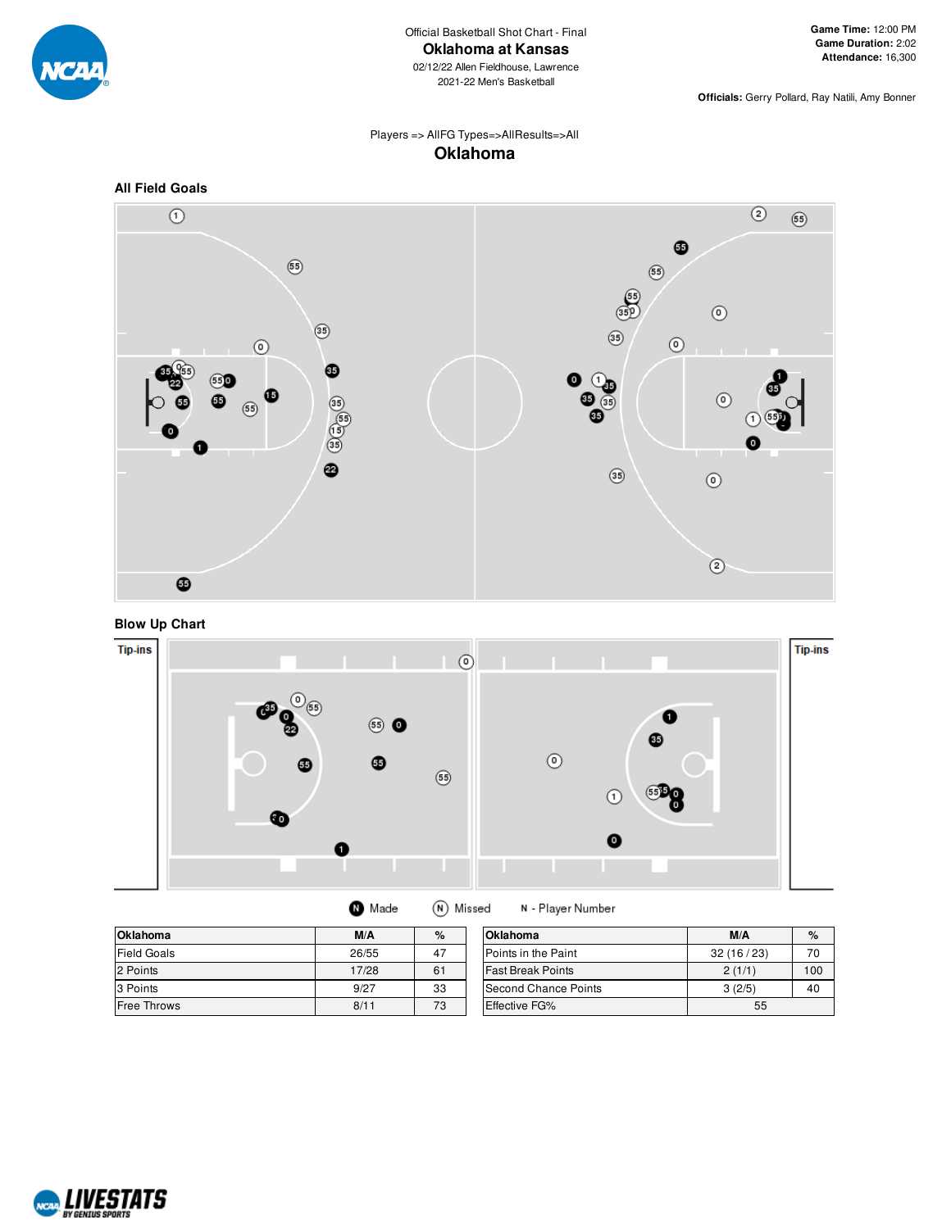

**Officials:** Gerry Pollard, Ray Natili, Amy Bonner

# Players => AllFG Types=>AllResults=>All **Oklahoma**







| <b>Oklahoma</b>    | M/A   | %  | <b>Oklahoma</b>            | M/A       | %   |
|--------------------|-------|----|----------------------------|-----------|-----|
| <b>Field Goals</b> | 26/55 | 47 | <b>Points in the Paint</b> | 32(16/23) | 70  |
| 2 Points           | 17/28 | 61 | <b>Fast Break Points</b>   | 2(1/1)    | 100 |
| 3 Points           | 9/27  | 33 | Second Chance Points       | 3(2/5)    | 40  |
| <b>Free Throws</b> | 8/11  | 73 | <b>Effective FG%</b>       | 55        |     |

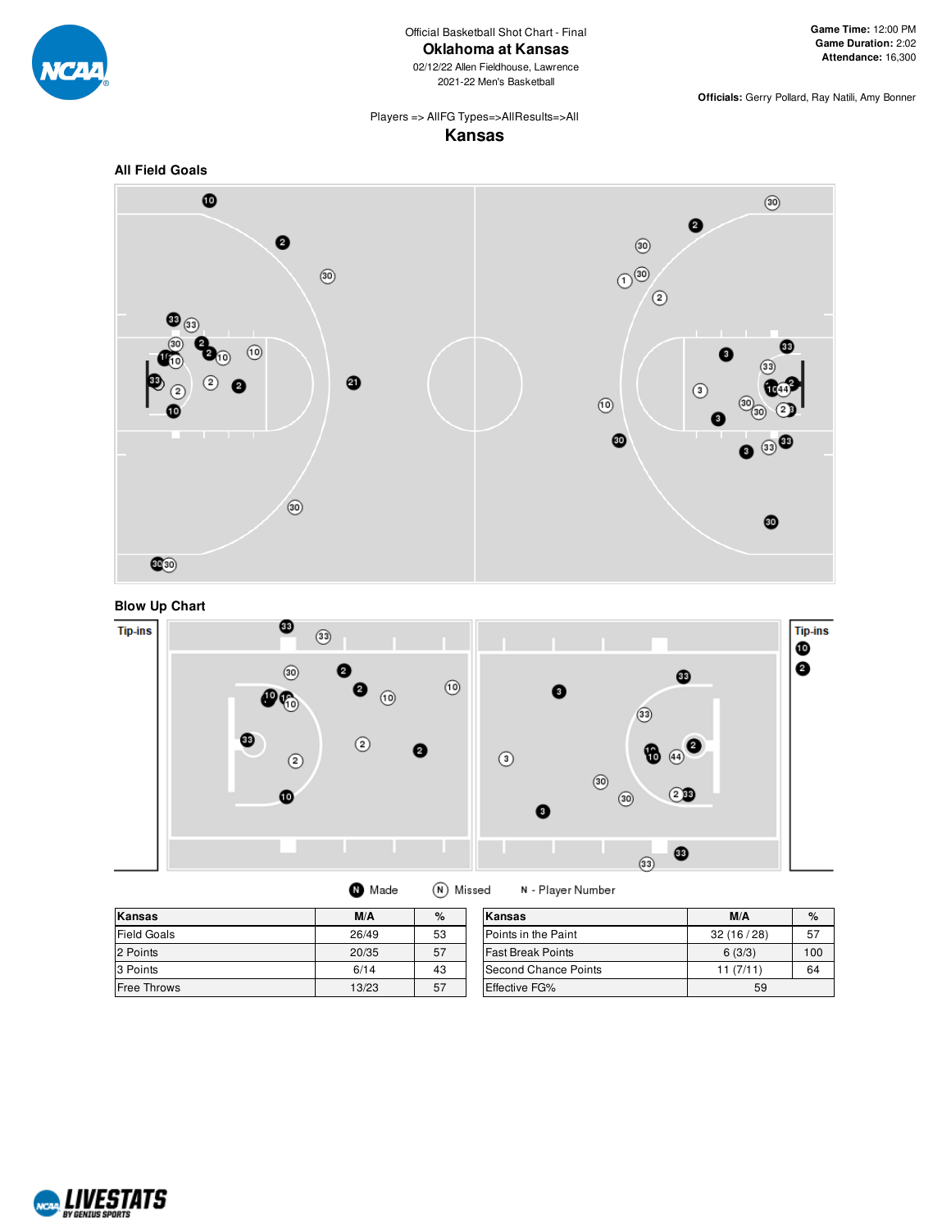

02/12/22 Allen Fieldhouse, Lawrence 2021-22 Men's Basketball

**Officials:** Gerry Pollard, Ray Natili, Amy Bonner

#### Players => AllFG Types=>AllResults=>All **Kansas**









| Kansas             | M/A   | %  | Kansas                   | M/A       | %   |
|--------------------|-------|----|--------------------------|-----------|-----|
| <b>Field Goals</b> | 26/49 | 53 | Points in the Paint      | 32(16/28) | 57  |
| 2 Points           | 20/35 | 57 | <b>Fast Break Points</b> | 6(3/3)    | 100 |
| 3 Points           | 6/14  | 43 | Second Chance Points     | 11(7/11)  | 64  |
| Free Throws        | 13/23 | 57 | Effective FG%            | 59        |     |

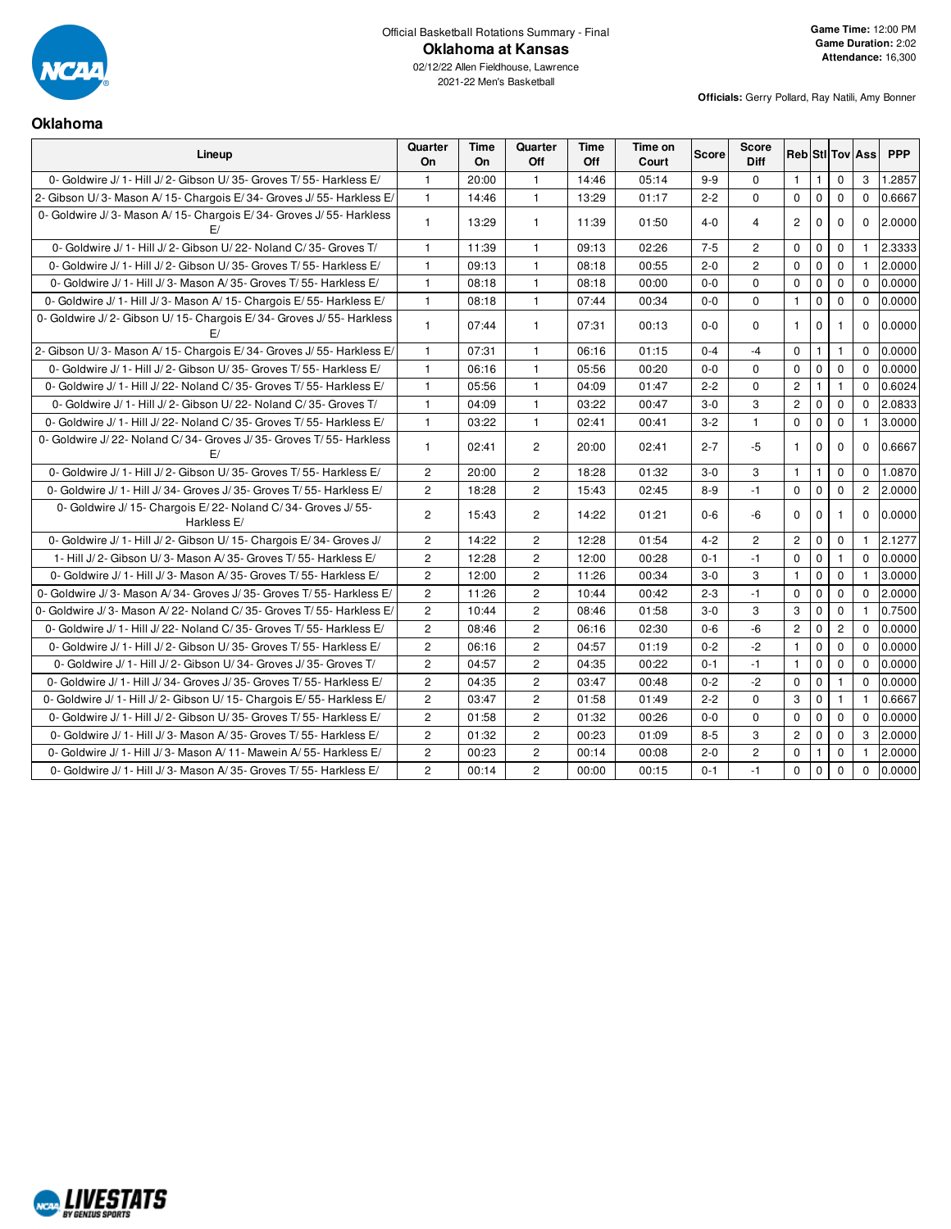

# Official Basketball Rotations Summary - Final **Oklahoma at Kansas**

**Officials:** Gerry Pollard, Ray Natili, Amy Bonner

## **Oklahoma**

| Lineup                                                                        | Quarter<br>On  | Time<br>On | Quarter<br>Off | Time<br>Off | Time on<br>Court | <b>Score</b> | <b>Score</b><br><b>Diff</b> |                |              |                | <b>Reb StI Tov Ass</b> | <b>PPP</b> |
|-------------------------------------------------------------------------------|----------------|------------|----------------|-------------|------------------|--------------|-----------------------------|----------------|--------------|----------------|------------------------|------------|
| 0- Goldwire J/ 1- Hill J/ 2- Gibson U/ 35- Groves T/ 55- Harkless E/          | $\mathbf{1}$   | 20:00      | $\mathbf{1}$   | 14:46       | 05:14            | $9-9$        | $\Omega$                    | $\mathbf{1}$   | $\mathbf{1}$ | $\mathbf 0$    | 3                      | 1.2857     |
| 2- Gibson U/3- Mason A/15- Chargois E/34- Groves J/55- Harkless E/            | $\mathbf{1}$   | 14:46      | $\mathbf{1}$   | 13:29       | 01:17            | $2 - 2$      | $\Omega$                    | $\Omega$       | $\mathbf{0}$ | $\mathbf 0$    | $\mathbf 0$            | 0.6667     |
| 0- Goldwire J/3- Mason A/15- Chargois E/34- Groves J/55- Harkless<br>F/       | $\mathbf{1}$   | 13:29      | $\mathbf{1}$   | 11:39       | 01:50            | $4 - 0$      | 4                           | $\overline{c}$ | $\Omega$     | $\Omega$       | $\Omega$               | 2.0000     |
| 0- Goldwire J/ 1- Hill J/ 2- Gibson U/ 22- Noland C/ 35- Groves T/            | $\mathbf{1}$   | 11:39      | $\mathbf{1}$   | 09:13       | 02:26            | $7 - 5$      | $\overline{2}$              | $\mathbf 0$    | $\mathbf 0$  | $\mathbf 0$    | $\mathbf{1}$           | 2.3333     |
| 0- Goldwire J/ 1- Hill J/ 2- Gibson U/ 35- Groves T/ 55- Harkless E/          | $\mathbf{1}$   | 09:13      | $\mathbf{1}$   | 08:18       | 00:55            | $2 - 0$      | $\overline{c}$              | $\mathbf 0$    | $\mathbf 0$  | $\mathbf 0$    | 1                      | 2.0000     |
| 0- Goldwire J/ 1- Hill J/ 3- Mason A/ 35- Groves T/ 55- Harkless E/           | $\mathbf{1}$   | 08:18      | $\mathbf{1}$   | 08:18       | 00:00            | $0-0$        | $\Omega$                    | $\mathbf 0$    | $\mathbf 0$  | $\mathbf 0$    | $\Omega$               | 0.0000     |
| 0- Goldwire J/ 1- Hill J/ 3- Mason A/ 15- Chargois E/ 55- Harkless E/         | $\mathbf{1}$   | 08:18      | $\mathbf{1}$   | 07:44       | 00:34            | $0-0$        | 0                           | $\mathbf{1}$   | $\mathbf 0$  | $\mathbf 0$    | $\mathbf 0$            | 0.0000     |
| 0- Goldwire J/2- Gibson U/15- Chargois E/34- Groves J/55- Harkless<br>F/      | $\mathbf{1}$   | 07:44      | $\mathbf{1}$   | 07:31       | 00:13            | $0-0$        | $\Omega$                    | $\mathbf{1}$   | $\mathbf 0$  | $\mathbf{1}$   | $\Omega$               | 0.0000     |
| 2- Gibson U/3- Mason A/15- Chargois E/34- Groves J/55- Harkless E/            | $\mathbf{1}$   | 07:31      | $\mathbf{1}$   | 06:16       | 01:15            | $0 - 4$      | $-4$                        | $\Omega$       | $\mathbf{1}$ | $\mathbf{1}$   | $\Omega$               | 0.0000     |
| 0- Goldwire J/ 1- Hill J/ 2- Gibson U/ 35- Groves T/ 55- Harkless E/          | $\mathbf{1}$   | 06:16      | $\mathbf{1}$   | 05:56       | 00:20            | $0-0$        | $\mathbf 0$                 | $\mathbf 0$    | $\mathbf{0}$ | $\mathbf 0$    | $\Omega$               | 0.0000     |
| 0- Goldwire J/ 1- Hill J/ 22- Noland C/ 35- Groves T/ 55- Harkless E/         | $\mathbf{1}$   | 05:56      | $\mathbf{1}$   | 04:09       | 01:47            | $2 - 2$      | $\mathbf 0$                 | $\overline{c}$ | $\mathbf{1}$ | $\mathbf{1}$   | $\Omega$               | 0.6024     |
| 0- Goldwire J/ 1- Hill J/ 2- Gibson U/ 22- Noland C/ 35- Groves T/            | $\mathbf{1}$   | 04:09      | $\mathbf{1}$   | 03:22       | 00:47            | $3-0$        | 3                           | $\overline{2}$ | $\mathbf 0$  | $\mathbf 0$    | $\Omega$               | 2.0833     |
| 0- Goldwire J/ 1- Hill J/ 22- Noland C/ 35- Groves T/ 55- Harkless E/         | $\mathbf{1}$   | 03:22      | $\mathbf{1}$   | 02:41       | 00:41            | $3 - 2$      | $\mathbf{1}$                | $\mathbf 0$    | $\mathbf 0$  | $\mathbf 0$    | $\mathbf{1}$           | 3.0000     |
| 0- Goldwire J/22- Noland C/34- Groves J/35- Groves T/55- Harkless<br>F/       | $\mathbf{1}$   | 02:41      | $\overline{2}$ | 20:00       | 02:41            | $2 - 7$      | $-5$                        | $\mathbf{1}$   | 0            | $\mathbf 0$    | $\Omega$               | 0.6667     |
| 0- Goldwire J/ 1- Hill J/ 2- Gibson U/ 35- Groves T/ 55- Harkless E/          | $\overline{2}$ | 20:00      | $\overline{c}$ | 18:28       | 01:32            | $3-0$        | 3                           | $\mathbf{1}$   | $\mathbf{1}$ | $\mathbf 0$    | $\Omega$               | 1.0870     |
| 0- Goldwire J/ 1- Hill J/ 34- Groves J/ 35- Groves T/ 55- Harkless E/         | $\overline{2}$ | 18:28      | $\overline{c}$ | 15:43       | 02:45            | $8 - 9$      | $-1$                        | $\mathbf 0$    | $\mathbf 0$  | $\mathbf 0$    | $\overline{2}$         | 2.0000     |
| 0- Goldwire J/ 15- Chargois E/ 22- Noland C/ 34- Groves J/ 55-<br>Harkless E/ | $\overline{2}$ | 15:43      | $\overline{2}$ | 14:22       | 01:21            | $0 - 6$      | $-6$                        | $\Omega$       | $\mathbf 0$  | $\mathbf{1}$   | $\Omega$               | 0.0000     |
| 0- Goldwire J/ 1- Hill J/ 2- Gibson U/ 15- Chargois E/ 34- Groves J/          | $\overline{c}$ | 14:22      | $\overline{c}$ | 12:28       | 01:54            | $4 - 2$      | $\overline{2}$              | $\overline{2}$ | $\mathbf 0$  | $\mathbf 0$    | $\mathbf{1}$           | 2.1277     |
| 1- Hill J/2- Gibson U/3- Mason A/35- Groves T/55- Harkless E/                 | $\overline{2}$ | 12:28      | $\overline{c}$ | 12:00       | 00:28            | $0 - 1$      | $-1$                        | $\mathbf 0$    | $\mathbf 0$  | $\mathbf{1}$   | $\Omega$               | 0.0000     |
| 0- Goldwire J/ 1- Hill J/ 3- Mason A/ 35- Groves T/ 55- Harkless E/           | $\overline{2}$ | 12:00      | $\overline{2}$ | 11:26       | 00:34            | $3-0$        | 3                           | $\mathbf{1}$   | $\mathbf 0$  | $\mathbf 0$    | $\mathbf{1}$           | 3.0000     |
| 0- Goldwire J/3- Mason A/34- Groves J/35- Groves T/55- Harkless E/            | $\overline{c}$ | 11:26      | $\overline{c}$ | 10:44       | 00:42            | $2 - 3$      | $-1$                        | $\mathbf 0$    | $\mathbf 0$  | $\mathbf 0$    | $\Omega$               | 2.0000     |
| 0- Goldwire J/3- Mason A/22- Noland C/35- Groves T/55- Harkless E/            | $\overline{c}$ | 10:44      | $\overline{c}$ | 08:46       | 01:58            | $3-0$        | 3                           | 3              | $\mathbf 0$  | $\mathbf 0$    | $\mathbf{1}$           | 0.7500     |
| 0- Goldwire J/ 1- Hill J/ 22- Noland C/ 35- Groves T/ 55- Harkless E/         | $\overline{2}$ | 08:46      | $\overline{2}$ | 06:16       | 02:30            | $0 - 6$      | -6                          | $\overline{c}$ | $\mathbf{0}$ | $\overline{c}$ | $\Omega$               | 0.0000     |
| 0- Goldwire J/ 1- Hill J/ 2- Gibson U/ 35- Groves T/ 55- Harkless E/          | $\overline{2}$ | 06:16      | $\mathbf{2}$   | 04:57       | 01:19            | $0 - 2$      | $-2$                        | $\mathbf{1}$   | $\mathbf 0$  | $\mathbf 0$    | $\mathbf{0}$           | 0.0000     |
| 0- Goldwire J/ 1- Hill J/ 2- Gibson U/34- Groves J/35- Groves T/              | $\overline{2}$ | 04:57      | $\overline{c}$ | 04:35       | 00:22            | $0 - 1$      | $-1$                        | $\mathbf{1}$   | $\mathbf 0$  | $\mathbf 0$    | $\Omega$               | 0.0000     |
| 0- Goldwire J/ 1- Hill J/ 34- Groves J/ 35- Groves T/ 55- Harkless E/         | $\overline{2}$ | 04:35      | $\overline{2}$ | 03:47       | 00:48            | $0 - 2$      | $-2$                        | $\Omega$       | $\mathbf 0$  | $\mathbf{1}$   | $\Omega$               | 0.0000     |
| 0- Goldwire J/ 1- Hill J/ 2- Gibson U/ 15- Chargois E/ 55- Harkless E/        | $\overline{2}$ | 03:47      | $\overline{c}$ | 01:58       | 01:49            | $2 - 2$      | $\mathbf 0$                 | 3              | $\pmb{0}$    | $\mathbf{1}$   | $\mathbf{1}$           | 0.6667     |
| 0- Goldwire J/ 1- Hill J/ 2- Gibson U/ 35- Groves T/ 55- Harkless E/          | $\overline{2}$ | 01:58      | $\overline{2}$ | 01:32       | 00:26            | $0-0$        | $\mathbf{0}$                | $\mathbf 0$    | $\mathbf 0$  | $\mathbf 0$    | $\Omega$               | 0.0000     |
| 0- Goldwire J/ 1- Hill J/ 3- Mason A/ 35- Groves T/ 55- Harkless E/           | $\overline{c}$ | 01:32      | $\mathbf{2}$   | 00:23       | 01:09            | $8 - 5$      | 3                           | $\mathbf{2}$   | $\mathbf 0$  | $\mathbf 0$    | 3                      | 2.0000     |
| 0- Goldwire J/ 1- Hill J/ 3- Mason A/ 11- Mawein A/ 55- Harkless E/           | $\overline{2}$ | 00:23      | $\overline{c}$ | 00:14       | 00:08            | $2 - 0$      | $\overline{c}$              | $\mathbf 0$    | 1            | 0              | $\mathbf{1}$           | 2.0000     |
| 0- Goldwire J/ 1- Hill J/ 3- Mason A/ 35- Groves T/ 55- Harkless E/           | $\overline{c}$ | 00:14      | $\overline{c}$ | 00:00       | 00:15            | $0 - 1$      | $-1$                        | $\mathsf 0$    | $\mathbf 0$  | $\Omega$       | $\Omega$               | 0.0000     |

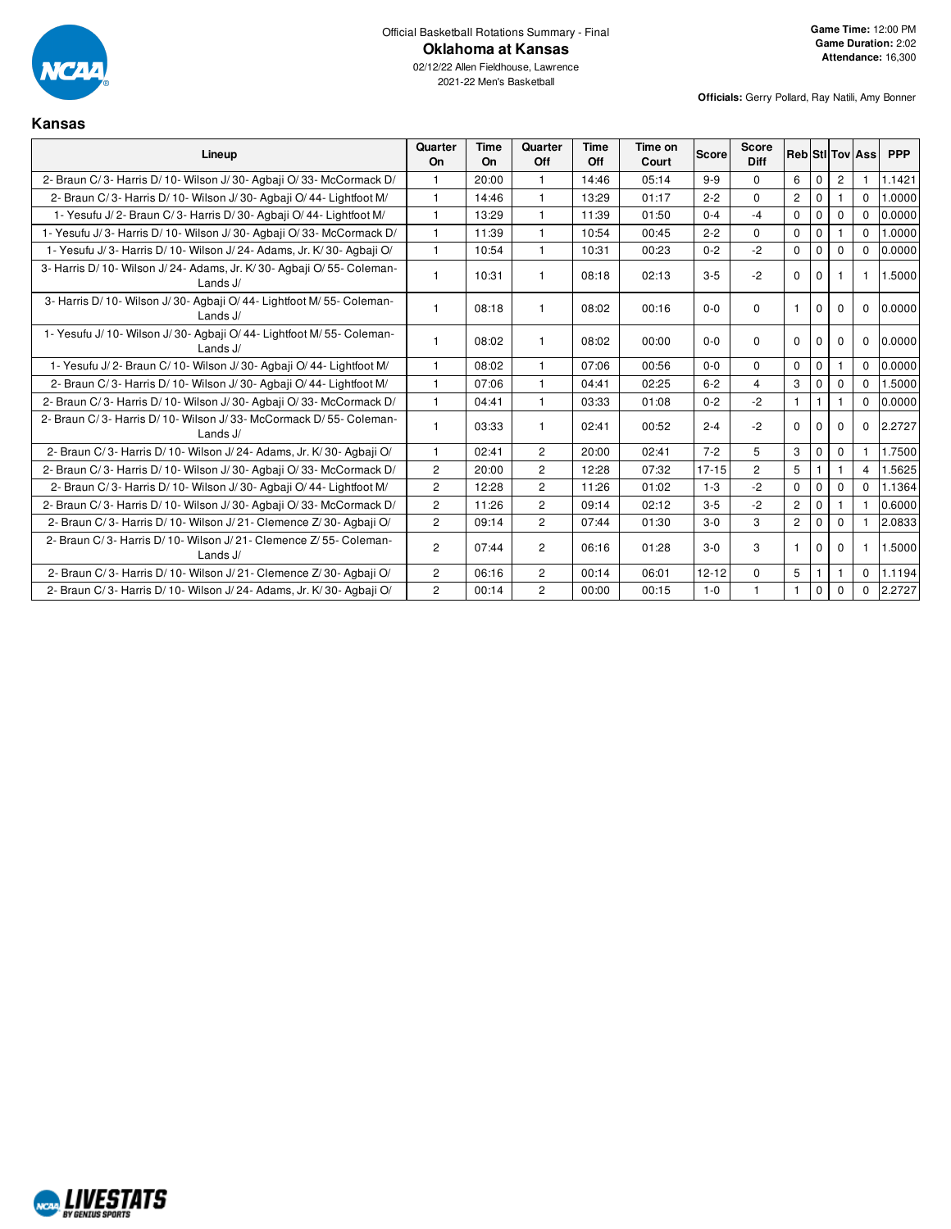

## Official Basketball Rotations Summary - Final **Oklahoma at Kansas**

**Officials:** Gerry Pollard, Ray Natili, Amy Bonner

## **Kansas**

| Lineup                                                                               | Quarter<br>On         | <b>Time</b><br>On | Quarter<br>Off | <b>Time</b><br>Off | Time on<br>Court | <b>Score</b> | <b>Score</b><br><b>Diff</b> |                |              |             | <b>Reb</b> Sti Tov Ass | <b>PPP</b> |
|--------------------------------------------------------------------------------------|-----------------------|-------------------|----------------|--------------------|------------------|--------------|-----------------------------|----------------|--------------|-------------|------------------------|------------|
| 2- Braun C/3- Harris D/10- Wilson J/30- Agbaii O/33- McCormack D/                    |                       | 20:00             | $\mathbf{1}$   | 14:46              | 05:14            | $9 - 9$      | $\Omega$                    | 6              | $\mathbf{0}$ | 2           |                        | 1.1421     |
| 2- Braun C/3- Harris D/10- Wilson J/30- Agbaji O/44- Lightfoot M/                    | $\mathbf{1}$          | 14:46             | $\mathbf{1}$   | 13:29              | 01:17            | $2 - 2$      | $\Omega$                    | $\overline{2}$ | $\mathbf{0}$ |             | $\Omega$               | 1.0000     |
| 1- Yesufu J/2- Braun C/3- Harris D/30- Agbaji O/44- Lightfoot M/                     | $\mathbf{1}$          | 13:29             | $\mathbf{1}$   | 11:39              | 01:50            | $0 - 4$      | $-4$                        | $\Omega$       | $\mathbf 0$  | $\Omega$    | $\Omega$               | 0.0000     |
| 1- Yesufu J/3- Harris D/10- Wilson J/30- Agbaji O/33- McCormack D/                   | 1                     | 11:39             | $\mathbf{1}$   | 10:54              | 00:45            | $2 - 2$      | $\Omega$                    | $\mathbf 0$    | $\mathbf{0}$ |             | $\Omega$               | 1.0000     |
| 1- Yesufu J/3- Harris D/10- Wilson J/24- Adams, Jr. K/30- Agbaji O/                  | $\mathbf{1}$          | 10:54             | $\mathbf{1}$   | 10:31              | 00:23            | $0 - 2$      | $-2$                        | $\mathbf 0$    | $\Omega$     | $\Omega$    | $\Omega$               | 0.0000     |
| 3- Harris D/ 10- Wilson J/ 24- Adams, Jr. K/ 30- Agbaji O/ 55- Coleman-<br>Lands J/  |                       | 10:31             |                | 08:18              | 02:13            | $3 - 5$      | $-2$                        | $\Omega$       | $\mathbf 0$  |             |                        | 1.5000     |
| 3- Harris D/ 10- Wilson J/ 30- Agbaji O/ 44- Lightfoot M/ 55- Coleman-<br>Lands $J/$ | 1                     | 08:18             |                | 08:02              | 00:16            | $0 - 0$      | $\Omega$                    | $\mathbf{1}$   | $\Omega$     | $\Omega$    | $\Omega$               | 0.0000     |
| 1- Yesufu J/ 10- Wilson J/ 30- Agbaji O/ 44- Lightfoot M/ 55- Coleman-<br>Lands J/   |                       | 08:02             |                | 08:02              | 00:00            | $0 - 0$      | $\Omega$                    | $\Omega$       | $\Omega$     | $\Omega$    | $\Omega$               | 0.0000     |
| 1- Yesufu J/2- Braun C/10- Wilson J/30- Agbaji O/44- Lightfoot M/                    | 1                     | 08:02             |                | 07:06              | 00:56            | $0 - 0$      | $\Omega$                    | $\Omega$       | $\Omega$     |             | $\Omega$               | 0.0000     |
| 2- Braun C/3- Harris D/10- Wilson J/30- Agbaji O/44- Lightfoot M/                    | 1                     | 07:06             |                | 04:41              | 02:25            | $6 - 2$      | $\overline{4}$              | 3              | $\mathbf 0$  | $\Omega$    | $\Omega$               | 1.5000     |
| 2- Braun C/3- Harris D/10- Wilson J/30- Agbaii O/33- McCormack D/                    | $\mathbf{1}$          | 04:41             | $\overline{1}$ | 03:33              | 01:08            | $0 - 2$      | $-2$                        | $\mathbf{1}$   | $\mathbf{1}$ |             | $\Omega$               | 0.0000     |
| 2- Braun C/3- Harris D/10- Wilson J/33- McCormack D/55- Coleman-<br>Lands $J/$       |                       | 03:33             |                | 02:41              | 00:52            | $2 - 4$      | $-2$                        | $\Omega$       | $\Omega$     | $\Omega$    | $\Omega$               | 2.2727     |
| 2- Braun C/3- Harris D/10- Wilson J/24- Adams, Jr. K/30- Agbaji O/                   | 1                     | 02:41             | $\overline{c}$ | 20:00              | 02:41            | $7 - 2$      | 5                           | 3              | $\mathbf 0$  | $\Omega$    |                        | 1.7500     |
| 2- Braun C/3- Harris D/10- Wilson J/30- Agbaii O/33- McCormack D/                    | $\overline{2}$        | 20:00             | $\overline{2}$ | 12:28              | 07:32            | $17 - 15$    | $\overline{c}$              | 5              |              |             | $\overline{4}$         | 1.5625     |
| 2- Braun C/3- Harris D/10- Wilson J/30- Agbaji O/44- Lightfoot M/                    | $\overline{2}$        | 12:28             | $\overline{2}$ | 11:26              | 01:02            | $1 - 3$      | $-2$                        | $\mathbf 0$    | $\mathbf 0$  | $\mathbf 0$ | $\Omega$               | 1.1364     |
| 2- Braun C/3- Harris D/10- Wilson J/30- Agbaii O/33- McCormack D/                    | $\overline{2}$        | 11:26             | $\overline{2}$ | 09:14              | 02:12            | $3 - 5$      | $-2$                        | $\overline{2}$ | $\Omega$     |             |                        | 0.6000     |
| 2- Braun C/3- Harris D/10- Wilson J/21- Clemence Z/30- Agbaji O/                     | $\overline{2}$        | 09:14             | $\overline{2}$ | 07:44              | 01:30            | $3-0$        | 3                           | $\overline{2}$ | $\mathbf{0}$ | $\Omega$    |                        | 2.0833     |
| 2- Braun C/3- Harris D/10- Wilson J/21- Clemence Z/55- Coleman-<br>Lands J/          | $\overline{c}$        | 07:44             | $\overline{c}$ | 06:16              | 01:28            | $3 - 0$      | 3                           | -1             | 0            | $\Omega$    |                        | 1.5000     |
| 2- Braun C/3- Harris D/10- Wilson J/21- Clemence Z/30- Agbaji O/                     | $\overline{2}$        | 06:16             | $\overline{2}$ | 00:14              | 06:01            | $12 - 12$    | $\Omega$                    | 5              |              |             | $\Omega$               | 1.1194     |
| 2- Braun C/3- Harris D/10- Wilson J/24- Adams, Jr. K/30- Agbaji O/                   | $\mathbf{2}^{\prime}$ | 00:14             | $\overline{c}$ | 00:00              | 00:15            | $1 - 0$      |                             | $\mathbf{1}$   | $\mathbf 0$  | $\Omega$    | $\Omega$               | 2.2727     |

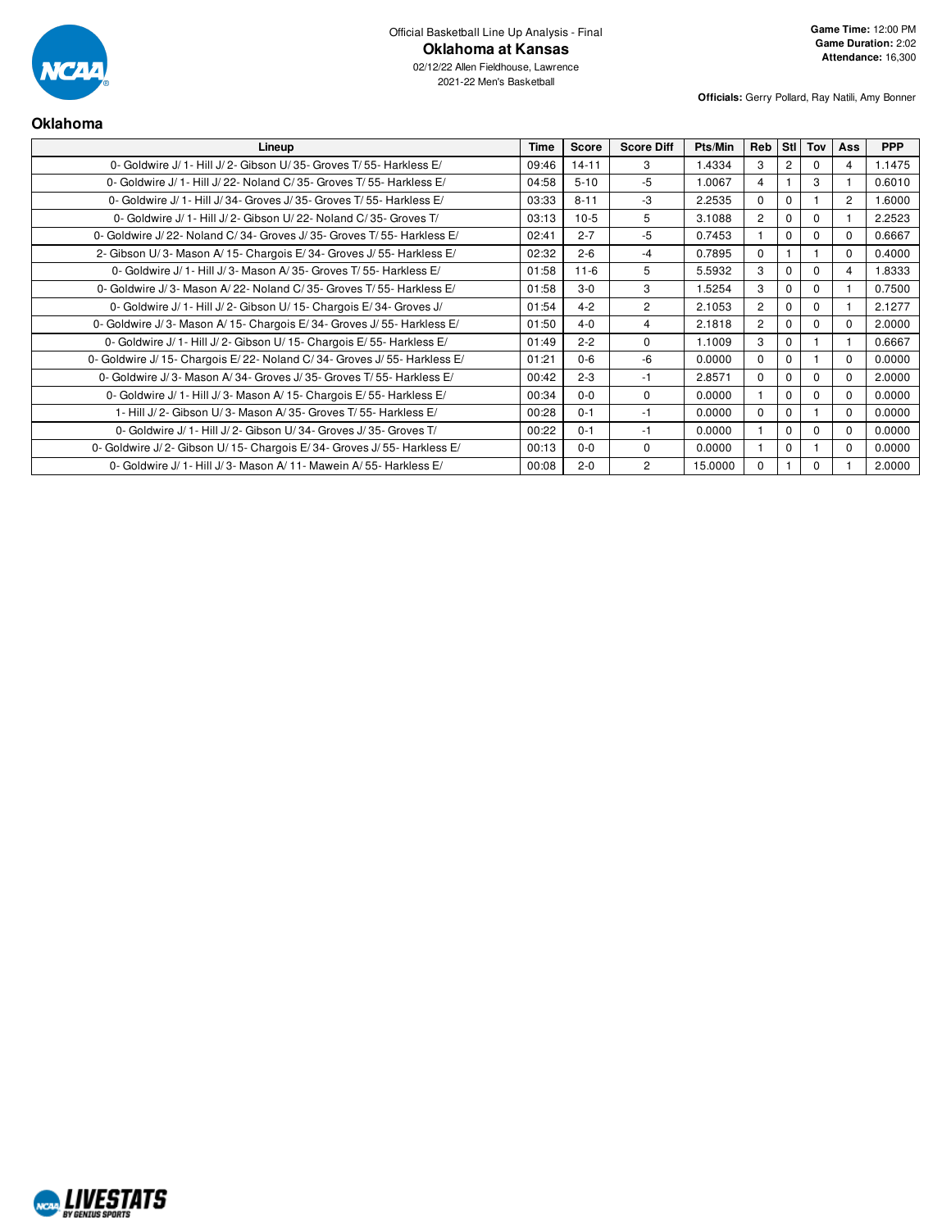

02/12/22 Allen Fieldhouse, Lawrence 2021-22 Men's Basketball

| <b>Oklahoma</b>                                                            |             |              |                   |         |                |                  |             |          |            |
|----------------------------------------------------------------------------|-------------|--------------|-------------------|---------|----------------|------------------|-------------|----------|------------|
| Lineup                                                                     | <b>Time</b> | <b>Score</b> | <b>Score Diff</b> | Pts/Min | Reb            | StI <sup>I</sup> | Tov         | Ass      | <b>PPP</b> |
| 0- Goldwire J/ 1- Hill J/ 2- Gibson U/ 35- Groves T/ 55- Harkless E/       | 09:46       | $14 - 11$    | 3                 | 1.4334  | 3              | 2                | $\Omega$    | 4        | 1.1475     |
| 0- Goldwire J/ 1- Hill J/ 22- Noland C/ 35- Groves T/ 55- Harkless E/      | 04:58       | $5 - 10$     | $-5$              | 1.0067  | 4              |                  | 3           |          | 0.6010     |
| 0- Goldwire J/ 1- Hill J/ 34- Groves J/ 35- Groves T/ 55- Harkless E/      | 03:33       | $8 - 11$     | $-3$              | 2.2535  | $\Omega$       | $\Omega$         |             | 2        | 1.6000     |
| 0- Goldwire J/ 1- Hill J/ 2- Gibson U/ 22- Noland C/ 35- Groves T/         | 03:13       | $10-5$       | 5                 | 3.1088  | $\overline{c}$ | $\Omega$         | $\Omega$    |          | 2.2523     |
| 0- Goldwire J/22- Noland C/34- Groves J/35- Groves T/55- Harkless E/       | 02:41       | $2 - 7$      | $-5$              | 0.7453  |                | $\Omega$         | $\Omega$    | 0        | 0.6667     |
| 2- Gibson U/3- Mason A/15- Chargois E/34- Groves J/55- Harkless E/         | 02:32       | $2 - 6$      | $-4$              | 0.7895  | $\Omega$       |                  |             | $\Omega$ | 0.4000     |
| 0- Goldwire J/ 1- Hill J/ 3- Mason A/ 35- Groves T/ 55- Harkless E/        | 01:58       | $11 - 6$     | 5                 | 5.5932  | 3              | $\Omega$         | $\Omega$    | 4        | 1.8333     |
| 0- Goldwire J/3- Mason A/22- Noland C/35- Groves T/55- Harkless E/         | 01:58       | $3-0$        | 3                 | 1.5254  | 3              | $\Omega$         | $\mathbf 0$ |          | 0.7500     |
| 0- Goldwire J/ 1- Hill J/ 2- Gibson U/ 15- Chargois E/ 34- Groves J/       | 01:54       | $4 - 2$      | $\overline{2}$    | 2.1053  | $\overline{c}$ | $\Omega$         | $\mathbf 0$ |          | 2.1277     |
| 0- Goldwire J/3- Mason A/15- Chargois E/34- Groves J/55- Harkless E/       | 01:50       | $4 - 0$      | $\overline{4}$    | 2.1818  | $\overline{c}$ | $\Omega$         | $\Omega$    | $\Omega$ | 2.0000     |
| 0- Goldwire J/ 1- Hill J/ 2- Gibson U/ 15- Chargois E/ 55- Harkless E/     | 01:49       | $2 - 2$      | $\Omega$          | 1.1009  | 3              | $\Omega$         |             |          | 0.6667     |
| 0- Goldwire J/ 15- Chargois E/ 22- Noland C/ 34- Groves J/ 55- Harkless E/ | 01:21       | $0 - 6$      | -6                | 0.0000  | $\mathbf 0$    | $\Omega$         |             | 0        | 0.0000     |
| 0- Goldwire J/3- Mason A/34- Groves J/35- Groves T/55- Harkless E/         | 00:42       | $2 - 3$      | -1                | 2.8571  | $\Omega$       | $\Omega$         | $\mathbf 0$ | 0        | 2.0000     |
| 0- Goldwire J/ 1- Hill J/ 3- Mason A/ 15- Chargois E/ 55- Harkless E/      | 00:34       | $0 - 0$      | $\Omega$          | 0.0000  |                | $\Omega$         | $\mathbf 0$ | $\Omega$ | 0.0000     |
| 1- Hill J/2- Gibson U/3- Mason A/35- Groves T/55- Harkless E/              | 00:28       | $0 - 1$      | $-1$              | 0.0000  | $\Omega$       | $\Omega$         |             | $\Omega$ | 0.0000     |
| 0- Goldwire J/ 1- Hill J/ 2- Gibson U/34- Groves J/35- Groves T/           | 00:22       | $0 - 1$      | $-1$              | 0.0000  |                | $\Omega$         | $\mathbf 0$ | 0        | 0.0000     |
| 0- Goldwire J/2- Gibson U/15- Chargois E/34- Groves J/55- Harkless E/      | 00:13       | $0 - 0$      | $\Omega$          | 0.0000  |                | $\Omega$         |             | $\Omega$ | 0.0000     |
| 0- Goldwire J/1- Hill J/3- Mason A/11- Mawein A/55- Harkless E/            | 00:08       | $2 - 0$      | $\overline{2}$    | 15.0000 | $\Omega$       |                  | $\mathbf 0$ |          | 2.0000     |